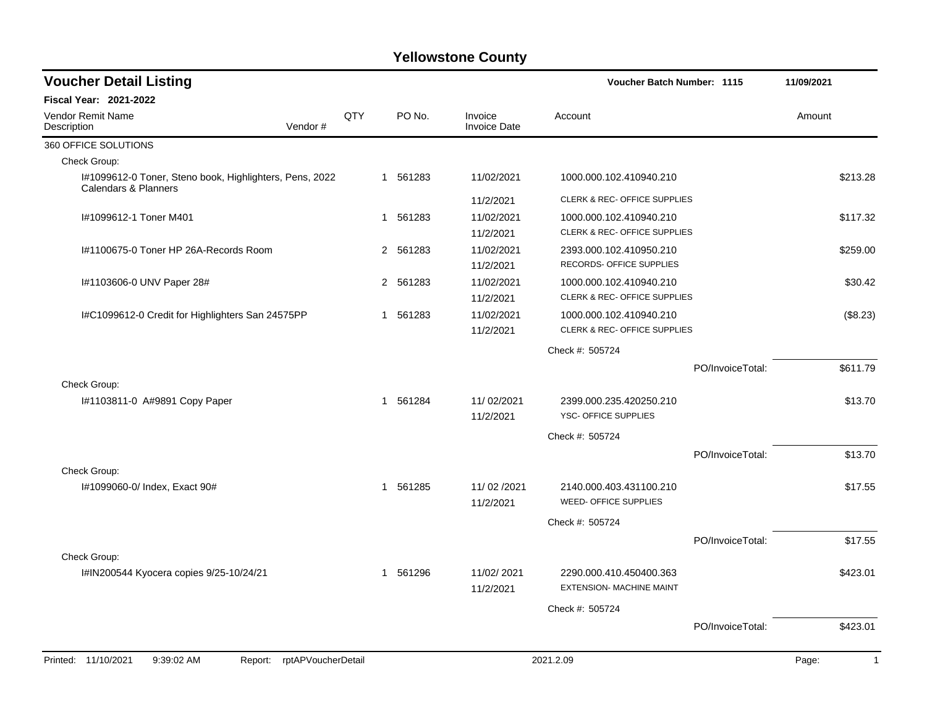| <b>Voucher Detail Listing</b>                                                   |                    |     |              |          |                                | Voucher Batch Number: 1115              |                  | 11/09/2021 |              |
|---------------------------------------------------------------------------------|--------------------|-----|--------------|----------|--------------------------------|-----------------------------------------|------------------|------------|--------------|
| Fiscal Year: 2021-2022                                                          |                    |     |              |          |                                |                                         |                  |            |              |
| Vendor Remit Name<br>Description                                                | Vendor#            | QTY |              | PO No.   | Invoice<br><b>Invoice Date</b> | Account                                 |                  | Amount     |              |
| 360 OFFICE SOLUTIONS                                                            |                    |     |              |          |                                |                                         |                  |            |              |
| Check Group:                                                                    |                    |     |              |          |                                |                                         |                  |            |              |
| I#1099612-0 Toner, Steno book, Highlighters, Pens, 2022<br>Calendars & Planners |                    |     |              | 1 561283 | 11/02/2021                     | 1000.000.102.410940.210                 |                  |            | \$213.28     |
|                                                                                 |                    |     |              |          | 11/2/2021                      | CLERK & REC- OFFICE SUPPLIES            |                  |            |              |
| I#1099612-1 Toner M401                                                          |                    |     |              | 1 561283 | 11/02/2021                     | 1000.000.102.410940.210                 |                  |            | \$117.32     |
|                                                                                 |                    |     |              |          | 11/2/2021                      | CLERK & REC- OFFICE SUPPLIES            |                  |            |              |
| I#1100675-0 Toner HP 26A-Records Room                                           |                    |     |              | 2 561283 | 11/02/2021                     | 2393.000.102.410950.210                 |                  |            | \$259.00     |
|                                                                                 |                    |     |              |          | 11/2/2021                      | RECORDS- OFFICE SUPPLIES                |                  |            |              |
| I#1103606-0 UNV Paper 28#                                                       |                    |     |              | 2 561283 | 11/02/2021                     | 1000.000.102.410940.210                 |                  |            | \$30.42      |
|                                                                                 |                    |     |              |          | 11/2/2021                      | CLERK & REC- OFFICE SUPPLIES            |                  |            |              |
| I#C1099612-0 Credit for Highlighters San 24575PP                                |                    |     | $\mathbf{1}$ | 561283   | 11/02/2021                     | 1000.000.102.410940.210                 |                  |            | (\$8.23)     |
|                                                                                 |                    |     |              |          | 11/2/2021                      | <b>CLERK &amp; REC- OFFICE SUPPLIES</b> |                  |            |              |
|                                                                                 |                    |     |              |          |                                | Check #: 505724                         |                  |            |              |
|                                                                                 |                    |     |              |          |                                |                                         | PO/InvoiceTotal: |            | \$611.79     |
| Check Group:                                                                    |                    |     |              |          |                                |                                         |                  |            |              |
| I#1103811-0 A#9891 Copy Paper                                                   |                    |     |              | 1 561284 | 11/02/2021                     | 2399.000.235.420250.210                 |                  |            | \$13.70      |
|                                                                                 |                    |     |              |          | 11/2/2021                      | YSC- OFFICE SUPPLIES                    |                  |            |              |
|                                                                                 |                    |     |              |          |                                | Check #: 505724                         |                  |            |              |
|                                                                                 |                    |     |              |          |                                |                                         | PO/InvoiceTotal: |            | \$13.70      |
| Check Group:                                                                    |                    |     |              |          |                                |                                         |                  |            |              |
| I#1099060-0/ Index, Exact 90#                                                   |                    |     | 1            | 561285   | 11/02/2021                     | 2140.000.403.431100.210                 |                  |            | \$17.55      |
|                                                                                 |                    |     |              |          | 11/2/2021                      | WEED- OFFICE SUPPLIES                   |                  |            |              |
|                                                                                 |                    |     |              |          |                                | Check #: 505724                         |                  |            |              |
|                                                                                 |                    |     |              |          |                                |                                         | PO/InvoiceTotal: |            | \$17.55      |
| Check Group:                                                                    |                    |     |              |          |                                |                                         |                  |            |              |
| I#IN200544 Kyocera copies 9/25-10/24/21                                         |                    |     |              | 1 561296 | 11/02/2021                     | 2290.000.410.450400.363                 |                  |            | \$423.01     |
|                                                                                 |                    |     |              |          | 11/2/2021                      | <b>EXTENSION- MACHINE MAINT</b>         |                  |            |              |
|                                                                                 |                    |     |              |          |                                |                                         |                  |            |              |
|                                                                                 |                    |     |              |          |                                | Check #: 505724                         |                  |            |              |
|                                                                                 |                    |     |              |          |                                |                                         | PO/InvoiceTotal: |            | \$423.01     |
|                                                                                 |                    |     |              |          |                                |                                         |                  |            |              |
| Printed: 11/10/2021<br>9:39:02 AM<br>Report:                                    | rptAPVoucherDetail |     |              |          |                                | 2021.2.09                               |                  | Page:      | $\mathbf{1}$ |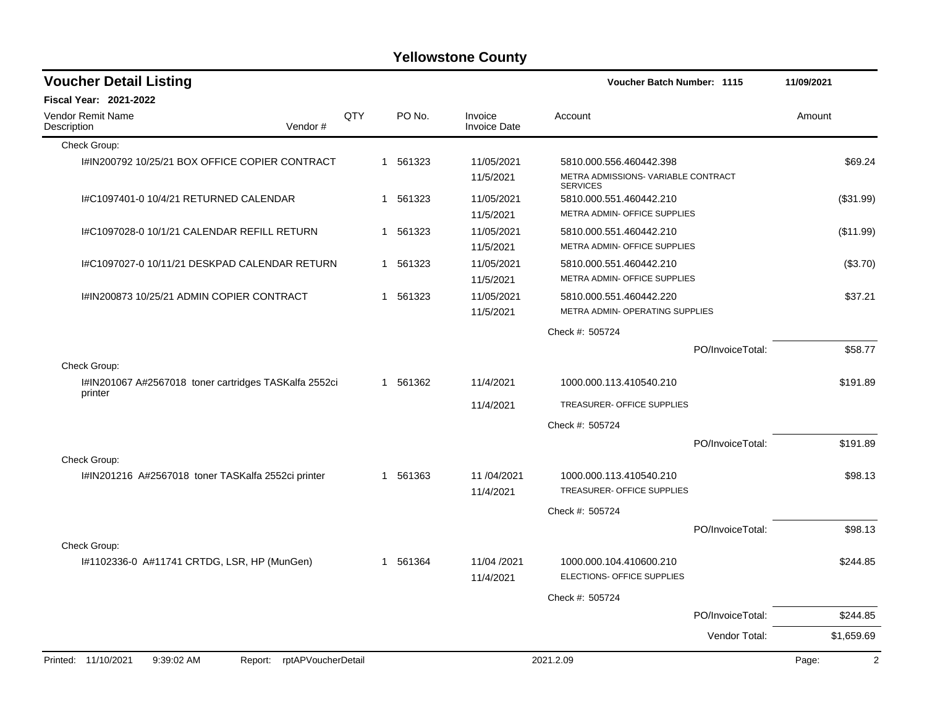| <b>Voucher Detail Listing</b>                                    |                    |     |   |          |                                | <b>Voucher Batch Number: 1115</b>                      |                  | 11/09/2021     |
|------------------------------------------------------------------|--------------------|-----|---|----------|--------------------------------|--------------------------------------------------------|------------------|----------------|
| <b>Fiscal Year: 2021-2022</b>                                    |                    |     |   |          |                                |                                                        |                  |                |
| Vendor Remit Name<br>Description                                 | Vendor#            | QTY |   | PO No.   | Invoice<br><b>Invoice Date</b> | Account                                                |                  | Amount         |
| Check Group:                                                     |                    |     |   |          |                                |                                                        |                  |                |
| I#IN200792 10/25/21 BOX OFFICE COPIER CONTRACT                   |                    |     |   | 1 561323 | 11/05/2021                     | 5810.000.556.460442.398                                |                  | \$69.24        |
|                                                                  |                    |     |   |          | 11/5/2021                      | METRA ADMISSIONS- VARIABLE CONTRACT<br><b>SERVICES</b> |                  |                |
| I#C1097401-0 10/4/21 RETURNED CALENDAR                           |                    |     | 1 | 561323   | 11/05/2021                     | 5810.000.551.460442.210                                |                  | (\$31.99)      |
|                                                                  |                    |     |   |          | 11/5/2021                      | METRA ADMIN- OFFICE SUPPLIES                           |                  |                |
| I#C1097028-0 10/1/21 CALENDAR REFILL RETURN                      |                    |     | 1 | 561323   | 11/05/2021                     | 5810.000.551.460442.210                                |                  | (\$11.99)      |
|                                                                  |                    |     |   |          | 11/5/2021                      | METRA ADMIN- OFFICE SUPPLIES                           |                  |                |
| I#C1097027-0 10/11/21 DESKPAD CALENDAR RETURN                    |                    |     | 1 | 561323   | 11/05/2021                     | 5810.000.551.460442.210                                |                  | (\$3.70)       |
|                                                                  |                    |     |   |          | 11/5/2021                      | METRA ADMIN- OFFICE SUPPLIES                           |                  |                |
| I#IN200873 10/25/21 ADMIN COPIER CONTRACT                        |                    |     |   | 1 561323 | 11/05/2021                     | 5810.000.551.460442.220                                |                  | \$37.21        |
|                                                                  |                    |     |   |          | 11/5/2021                      | METRA ADMIN- OPERATING SUPPLIES                        |                  |                |
|                                                                  |                    |     |   |          |                                | Check #: 505724                                        |                  |                |
|                                                                  |                    |     |   |          |                                |                                                        | PO/InvoiceTotal: | \$58.77        |
| Check Group:                                                     |                    |     |   |          |                                |                                                        |                  |                |
| I#IN201067 A#2567018 toner cartridges TASKalfa 2552ci<br>printer |                    |     |   | 1 561362 | 11/4/2021                      | 1000.000.113.410540.210                                |                  | \$191.89       |
|                                                                  |                    |     |   |          | 11/4/2021                      | TREASURER- OFFICE SUPPLIES                             |                  |                |
|                                                                  |                    |     |   |          |                                | Check #: 505724                                        |                  |                |
|                                                                  |                    |     |   |          |                                |                                                        | PO/InvoiceTotal: | \$191.89       |
| Check Group:                                                     |                    |     |   |          |                                |                                                        |                  |                |
| I#IN201216 A#2567018 toner TASKalfa 2552ci printer               |                    |     |   | 1 561363 | 11/04/2021                     | 1000.000.113.410540.210                                |                  | \$98.13        |
|                                                                  |                    |     |   |          | 11/4/2021                      | TREASURER- OFFICE SUPPLIES                             |                  |                |
|                                                                  |                    |     |   |          |                                | Check #: 505724                                        |                  |                |
|                                                                  |                    |     |   |          |                                |                                                        | PO/InvoiceTotal: | \$98.13        |
| Check Group:                                                     |                    |     |   |          |                                |                                                        |                  |                |
| I#1102336-0 A#11741 CRTDG, LSR, HP (MunGen)                      |                    |     |   | 1 561364 | 11/04 /2021                    | 1000.000.104.410600.210                                |                  | \$244.85       |
|                                                                  |                    |     |   |          | 11/4/2021                      | ELECTIONS- OFFICE SUPPLIES                             |                  |                |
|                                                                  |                    |     |   |          |                                | Check #: 505724                                        |                  |                |
|                                                                  |                    |     |   |          |                                |                                                        | PO/InvoiceTotal: | \$244.85       |
|                                                                  |                    |     |   |          |                                |                                                        | Vendor Total:    | \$1,659.69     |
| Printed: 11/10/2021<br>9:39:02 AM                                | rptAPVoucherDetail |     |   |          |                                | 2021.2.09                                              |                  | $\overline{2}$ |
|                                                                  | Report:            |     |   |          |                                |                                                        |                  | Page:          |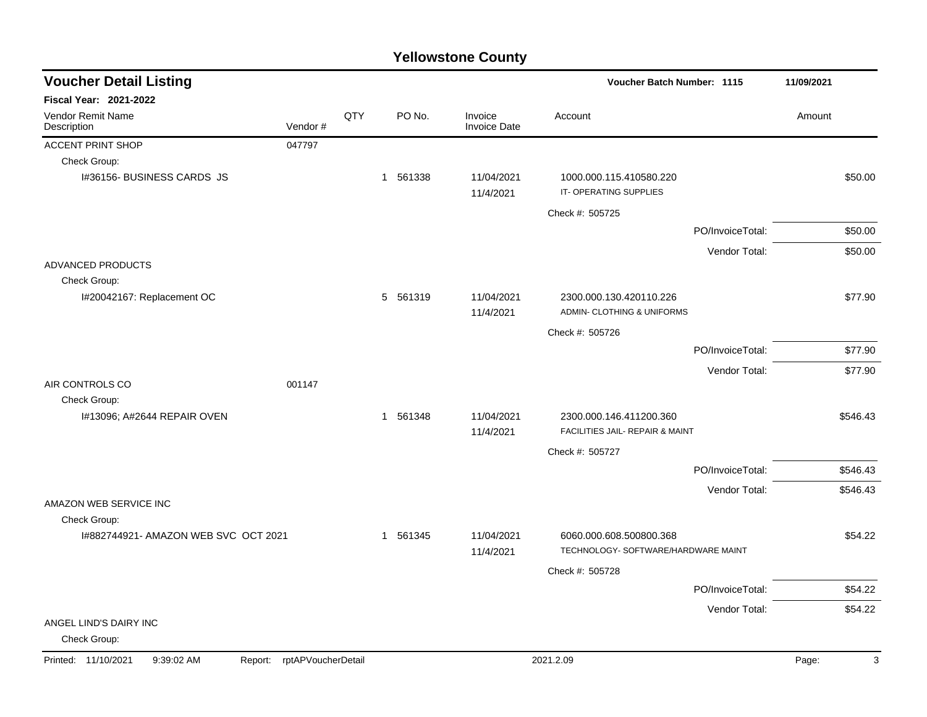| <b>Voucher Detail Listing</b>                |                    |     |          |                                |                                                                | Voucher Batch Number: 1115 |            |  |
|----------------------------------------------|--------------------|-----|----------|--------------------------------|----------------------------------------------------------------|----------------------------|------------|--|
| <b>Fiscal Year: 2021-2022</b>                |                    |     |          |                                |                                                                |                            |            |  |
| Vendor Remit Name<br>Description             | Vendor#            | QTY | PO No.   | Invoice<br><b>Invoice Date</b> | Account                                                        |                            | Amount     |  |
| <b>ACCENT PRINT SHOP</b>                     | 047797             |     |          |                                |                                                                |                            |            |  |
| Check Group:                                 |                    |     |          |                                |                                                                |                            |            |  |
| I#36156- BUSINESS CARDS JS                   |                    |     | 1 561338 | 11/04/2021<br>11/4/2021        | 1000.000.115.410580.220<br>IT-OPERATING SUPPLIES               |                            | \$50.00    |  |
|                                              |                    |     |          |                                | Check #: 505725                                                |                            |            |  |
|                                              |                    |     |          |                                |                                                                | PO/InvoiceTotal:           | \$50.00    |  |
|                                              |                    |     |          |                                |                                                                | Vendor Total:              | \$50.00    |  |
| ADVANCED PRODUCTS                            |                    |     |          |                                |                                                                |                            |            |  |
| Check Group:                                 |                    |     |          |                                |                                                                |                            |            |  |
| I#20042167: Replacement OC                   |                    |     | 5 561319 | 11/04/2021<br>11/4/2021        | 2300.000.130.420110.226<br>ADMIN- CLOTHING & UNIFORMS          |                            | \$77.90    |  |
|                                              |                    |     |          |                                | Check #: 505726                                                |                            |            |  |
|                                              |                    |     |          |                                |                                                                | PO/InvoiceTotal:           | \$77.90    |  |
|                                              |                    |     |          |                                |                                                                | Vendor Total:              | \$77.90    |  |
| AIR CONTROLS CO                              | 001147             |     |          |                                |                                                                |                            |            |  |
| Check Group:                                 |                    |     |          |                                |                                                                |                            |            |  |
| I#13096; A#2644 REPAIR OVEN                  |                    |     | 1 561348 | 11/04/2021<br>11/4/2021        | 2300.000.146.411200.360<br>FACILITIES JAIL- REPAIR & MAINT     |                            | \$546.43   |  |
|                                              |                    |     |          |                                | Check #: 505727                                                |                            |            |  |
|                                              |                    |     |          |                                |                                                                | PO/InvoiceTotal:           | \$546.43   |  |
|                                              |                    |     |          |                                |                                                                | Vendor Total:              | \$546.43   |  |
| AMAZON WEB SERVICE INC                       |                    |     |          |                                |                                                                |                            |            |  |
| Check Group:                                 |                    |     |          |                                |                                                                |                            |            |  |
| I#882744921- AMAZON WEB SVC OCT 2021         |                    |     | 1 561345 | 11/04/2021<br>11/4/2021        | 6060.000.608.500800.368<br>TECHNOLOGY- SOFTWARE/HARDWARE MAINT |                            | \$54.22    |  |
|                                              |                    |     |          |                                | Check #: 505728                                                |                            |            |  |
|                                              |                    |     |          |                                |                                                                | PO/InvoiceTotal:           | \$54.22    |  |
|                                              |                    |     |          |                                |                                                                | Vendor Total:              | \$54.22    |  |
| ANGEL LIND'S DAIRY INC<br>Check Group:       |                    |     |          |                                |                                                                |                            |            |  |
| Printed: 11/10/2021<br>9:39:02 AM<br>Report: | rptAPVoucherDetail |     |          |                                | 2021.2.09                                                      |                            | Page:<br>3 |  |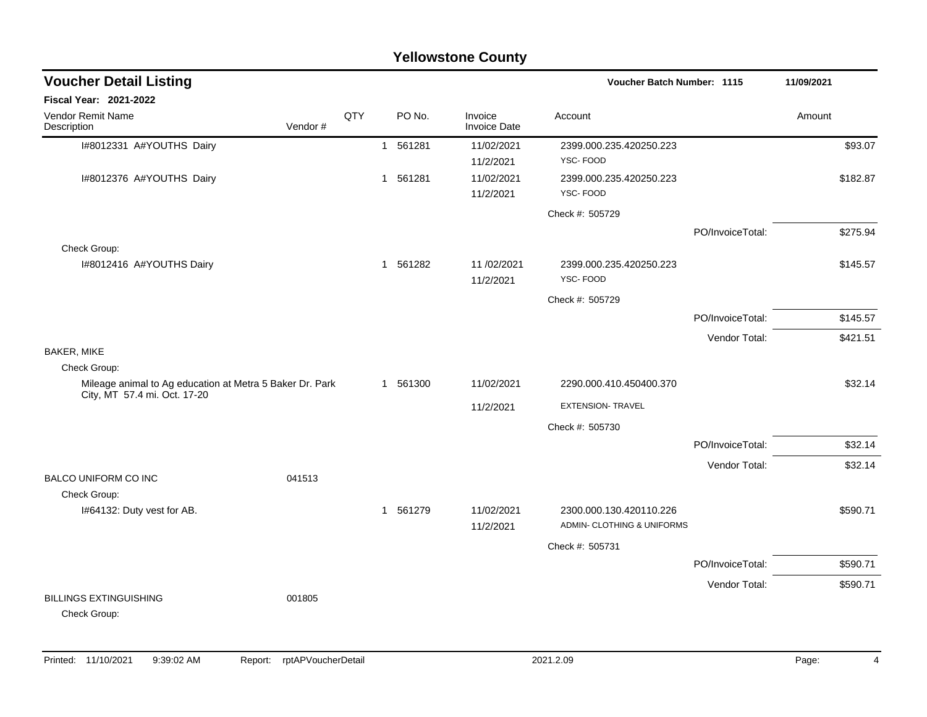|                                                                          |         |     |          | <b>Yellowstone County</b>      |                                                       |                  |            |
|--------------------------------------------------------------------------|---------|-----|----------|--------------------------------|-------------------------------------------------------|------------------|------------|
| <b>Voucher Detail Listing</b>                                            |         |     |          |                                | <b>Voucher Batch Number: 1115</b>                     |                  | 11/09/2021 |
| Fiscal Year: 2021-2022                                                   |         |     |          |                                |                                                       |                  |            |
| <b>Vendor Remit Name</b><br>Description                                  | Vendor# | QTY | PO No.   | Invoice<br><b>Invoice Date</b> | Account                                               |                  | Amount     |
| I#8012331 A#YOUTHS Dairy                                                 |         |     | 1 561281 | 11/02/2021                     | 2399.000.235.420250.223                               |                  | \$93.07    |
|                                                                          |         |     |          | 11/2/2021                      | YSC-FOOD                                              |                  |            |
| I#8012376 A#YOUTHS Dairy                                                 |         |     | 1 561281 | 11/02/2021<br>11/2/2021        | 2399.000.235.420250.223<br>YSC-FOOD                   |                  | \$182.87   |
|                                                                          |         |     |          |                                | Check #: 505729                                       |                  |            |
| Check Group:                                                             |         |     |          |                                |                                                       | PO/InvoiceTotal: | \$275.94   |
| I#8012416 A#YOUTHS Dairy                                                 |         |     | 1 561282 | 11/02/2021<br>11/2/2021        | 2399.000.235.420250.223<br>YSC-FOOD                   |                  | \$145.57   |
|                                                                          |         |     |          |                                | Check #: 505729                                       |                  |            |
|                                                                          |         |     |          |                                |                                                       | PO/InvoiceTotal: | \$145.57   |
|                                                                          |         |     |          |                                |                                                       | Vendor Total:    | \$421.51   |
| BAKER, MIKE                                                              |         |     |          |                                |                                                       |                  |            |
| Check Group:<br>Mileage animal to Ag education at Metra 5 Baker Dr. Park |         |     | 1 561300 | 11/02/2021                     | 2290.000.410.450400.370                               |                  | \$32.14    |
| City, MT 57.4 mi. Oct. 17-20                                             |         |     |          | 11/2/2021                      | <b>EXTENSION- TRAVEL</b>                              |                  |            |
|                                                                          |         |     |          |                                | Check #: 505730                                       |                  |            |
|                                                                          |         |     |          |                                |                                                       | PO/InvoiceTotal: | \$32.14    |
|                                                                          |         |     |          |                                |                                                       | Vendor Total:    | \$32.14    |
| <b>BALCO UNIFORM CO INC</b><br>Check Group:                              | 041513  |     |          |                                |                                                       |                  |            |
| I#64132: Duty vest for AB.                                               |         |     | 1 561279 | 11/02/2021<br>11/2/2021        | 2300.000.130.420110.226<br>ADMIN- CLOTHING & UNIFORMS |                  | \$590.71   |
|                                                                          |         |     |          |                                | Check #: 505731                                       |                  |            |
|                                                                          |         |     |          |                                |                                                       | PO/InvoiceTotal: | \$590.71   |
|                                                                          |         |     |          |                                |                                                       | Vendor Total:    | \$590.71   |
| <b>BILLINGS EXTINGUISHING</b><br>Check Group:                            | 001805  |     |          |                                |                                                       |                  |            |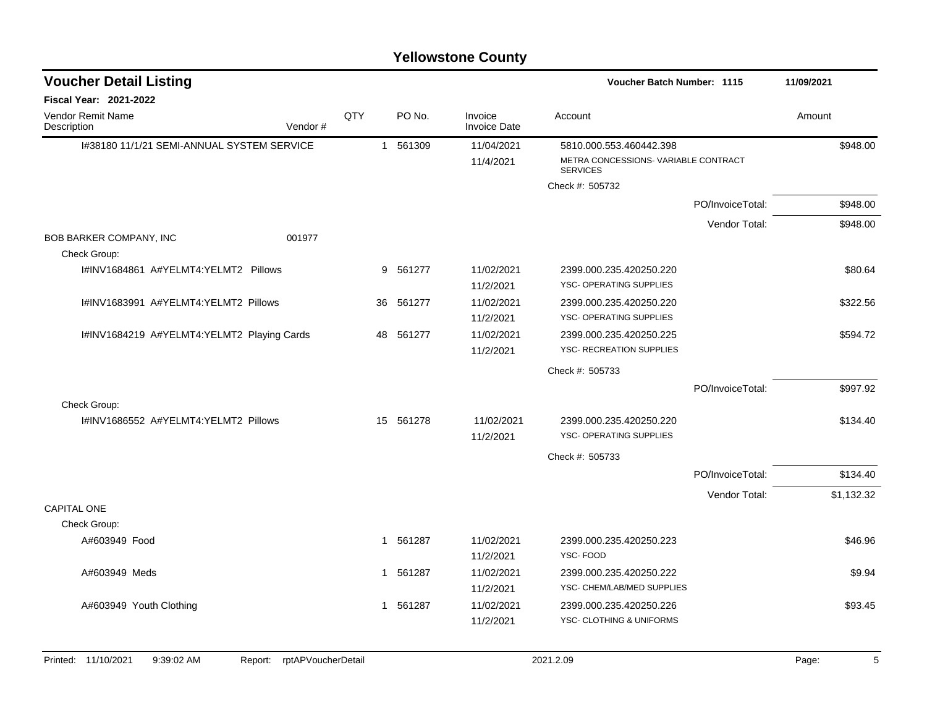| <b>Voucher Detail Listing</b>              |                               |              |          |                                | <b>Voucher Batch Number: 1115</b>                       |                  | 11/09/2021 |  |
|--------------------------------------------|-------------------------------|--------------|----------|--------------------------------|---------------------------------------------------------|------------------|------------|--|
| Fiscal Year: 2021-2022                     |                               |              |          |                                |                                                         |                  |            |  |
| Vendor Remit Name<br>Description           | Vendor#                       | QTY          | PO No.   | Invoice<br><b>Invoice Date</b> | Account                                                 |                  | Amount     |  |
| I#38180 11/1/21 SEMI-ANNUAL SYSTEM SERVICE |                               |              | 1 561309 | 11/04/2021                     | 5810.000.553.460442.398                                 |                  | \$948.00   |  |
|                                            |                               |              |          | 11/4/2021                      | METRA CONCESSIONS- VARIABLE CONTRACT<br><b>SERVICES</b> |                  |            |  |
|                                            |                               |              |          |                                | Check #: 505732                                         |                  |            |  |
|                                            |                               |              |          |                                |                                                         | PO/InvoiceTotal: | \$948.00   |  |
|                                            |                               |              |          |                                |                                                         | Vendor Total:    | \$948.00   |  |
| BOB BARKER COMPANY, INC                    | 001977                        |              |          |                                |                                                         |                  |            |  |
| Check Group:                               |                               |              |          |                                |                                                         |                  |            |  |
| I#INV1684861 A#YELMT4:YELMT2 Pillows       |                               |              | 9 561277 | 11/02/2021                     | 2399.000.235.420250.220                                 |                  | \$80.64    |  |
|                                            |                               |              |          | 11/2/2021                      | YSC- OPERATING SUPPLIES                                 |                  |            |  |
| I#INV1683991 A#YELMT4:YELMT2 Pillows       |                               | 36           | 561277   | 11/02/2021                     | 2399.000.235.420250.220                                 |                  | \$322.56   |  |
|                                            |                               |              |          | 11/2/2021                      | YSC- OPERATING SUPPLIES                                 |                  |            |  |
| I#INV1684219 A#YELMT4:YELMT2 Playing Cards |                               | 48           | 561277   | 11/02/2021                     | 2399.000.235.420250.225                                 |                  | \$594.72   |  |
|                                            |                               |              |          | 11/2/2021                      | <b>YSC- RECREATION SUPPLIES</b>                         |                  |            |  |
|                                            |                               |              |          |                                | Check #: 505733                                         |                  |            |  |
|                                            |                               |              |          |                                |                                                         | PO/InvoiceTotal: | \$997.92   |  |
| Check Group:                               |                               |              |          |                                |                                                         |                  |            |  |
| I#INV1686552 A#YELMT4:YELMT2 Pillows       |                               | 15           | 561278   | 11/02/2021                     | 2399.000.235.420250.220                                 |                  | \$134.40   |  |
|                                            |                               |              |          | 11/2/2021                      | YSC- OPERATING SUPPLIES                                 |                  |            |  |
|                                            |                               |              |          |                                | Check #: 505733                                         |                  |            |  |
|                                            |                               |              |          |                                |                                                         | PO/InvoiceTotal: | \$134.40   |  |
|                                            |                               |              |          |                                |                                                         | Vendor Total:    | \$1,132.32 |  |
| <b>CAPITAL ONE</b>                         |                               |              |          |                                |                                                         |                  |            |  |
| Check Group:                               |                               |              |          |                                |                                                         |                  |            |  |
| A#603949 Food                              |                               | $\mathbf{1}$ | 561287   | 11/02/2021                     | 2399.000.235.420250.223                                 |                  | \$46.96    |  |
|                                            |                               |              |          | 11/2/2021                      | YSC-FOOD                                                |                  |            |  |
| A#603949 Meds                              |                               | 1            | 561287   | 11/02/2021                     | 2399.000.235.420250.222                                 |                  | \$9.94     |  |
|                                            |                               |              |          | 11/2/2021                      | YSC- CHEM/LAB/MED SUPPLIES                              |                  |            |  |
| A#603949 Youth Clothing                    |                               |              | 1 561287 | 11/02/2021                     | 2399.000.235.420250.226                                 |                  | \$93.45    |  |
|                                            |                               |              |          | 11/2/2021                      | YSC- CLOTHING & UNIFORMS                                |                  |            |  |
|                                            |                               |              |          |                                |                                                         |                  |            |  |
| Printed: 11/10/2021<br>9:39:02 AM          | rptAPVoucherDetail<br>Report: |              |          |                                | 2021.2.09                                               |                  | 5<br>Page: |  |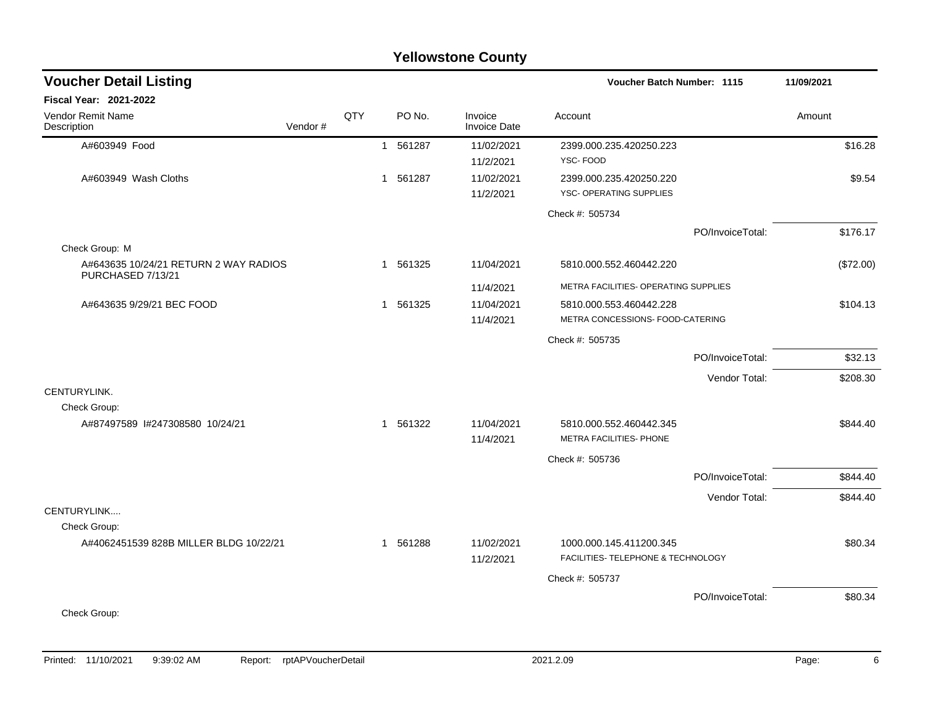|                                         |         |     |          | <b>Yellowstone County</b>      |                                                               |                  |            |
|-----------------------------------------|---------|-----|----------|--------------------------------|---------------------------------------------------------------|------------------|------------|
| <b>Voucher Detail Listing</b>           |         |     |          |                                | Voucher Batch Number: 1115                                    |                  | 11/09/2021 |
| Fiscal Year: 2021-2022                  |         |     |          |                                |                                                               |                  |            |
| <b>Vendor Remit Name</b><br>Description | Vendor# | QTY | PO No.   | Invoice<br><b>Invoice Date</b> | Account                                                       |                  | Amount     |
| A#603949 Food                           |         |     | 1 561287 | 11/02/2021                     | 2399.000.235.420250.223                                       |                  | \$16.28    |
|                                         |         |     |          | 11/2/2021                      | YSC-FOOD                                                      |                  |            |
| A#603949 Wash Cloths                    |         |     | 1 561287 | 11/02/2021                     | 2399.000.235.420250.220                                       |                  | \$9.54     |
|                                         |         |     |          | 11/2/2021                      | YSC- OPERATING SUPPLIES                                       |                  |            |
|                                         |         |     |          |                                | Check #: 505734                                               |                  |            |
|                                         |         |     |          |                                |                                                               | PO/InvoiceTotal: | \$176.17   |
| Check Group: M                          |         |     |          |                                |                                                               |                  |            |
| A#643635 10/24/21 RETURN 2 WAY RADIOS   |         |     | 1 561325 | 11/04/2021                     | 5810.000.552.460442.220                                       |                  | (\$72.00)  |
| PURCHASED 7/13/21                       |         |     |          | 11/4/2021                      | METRA FACILITIES- OPERATING SUPPLIES                          |                  |            |
| A#643635 9/29/21 BEC FOOD               |         |     | 1 561325 | 11/04/2021                     | 5810.000.553.460442.228                                       |                  | \$104.13   |
|                                         |         |     |          | 11/4/2021                      | METRA CONCESSIONS- FOOD-CATERING                              |                  |            |
|                                         |         |     |          |                                | Check #: 505735                                               |                  |            |
|                                         |         |     |          |                                |                                                               | PO/InvoiceTotal: | \$32.13    |
|                                         |         |     |          |                                |                                                               | Vendor Total:    | \$208.30   |
| CENTURYLINK.                            |         |     |          |                                |                                                               |                  |            |
| Check Group:                            |         |     |          |                                |                                                               |                  |            |
| A#87497589 l#247308580 10/24/21         |         |     | 1 561322 | 11/04/2021                     | 5810.000.552.460442.345                                       |                  | \$844.40   |
|                                         |         |     |          | 11/4/2021                      | METRA FACILITIES- PHONE                                       |                  |            |
|                                         |         |     |          |                                | Check #: 505736                                               |                  |            |
|                                         |         |     |          |                                |                                                               | PO/InvoiceTotal: | \$844.40   |
|                                         |         |     |          |                                |                                                               | Vendor Total:    | \$844.40   |
| CENTURYLINK                             |         |     |          |                                |                                                               |                  |            |
| Check Group:                            |         |     |          |                                |                                                               |                  |            |
| A#4062451539 828B MILLER BLDG 10/22/21  |         |     | 1 561288 | 11/02/2021<br>11/2/2021        | 1000.000.145.411200.345<br>FACILITIES- TELEPHONE & TECHNOLOGY |                  | \$80.34    |
|                                         |         |     |          |                                | Check #: 505737                                               |                  |            |
|                                         |         |     |          |                                |                                                               |                  |            |
|                                         |         |     |          |                                |                                                               | PO/InvoiceTotal: | \$80.34    |
| Check Group:                            |         |     |          |                                |                                                               |                  |            |
|                                         |         |     |          |                                |                                                               |                  |            |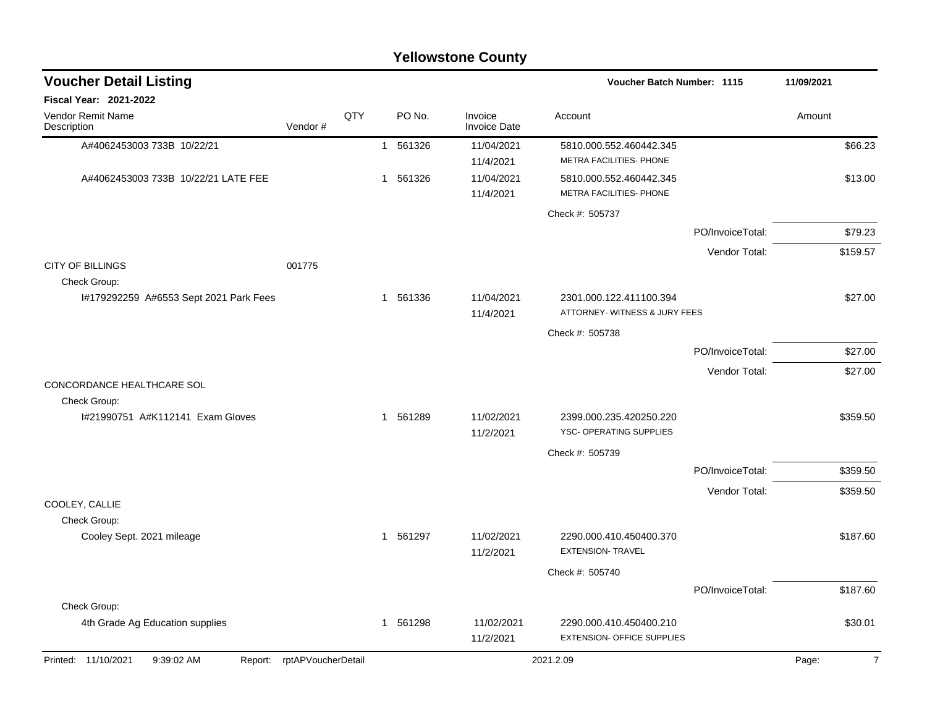|                                              | <b>Yellowstone County</b> |     |  |          |                         |                                                       |                  |            |  |  |  |
|----------------------------------------------|---------------------------|-----|--|----------|-------------------------|-------------------------------------------------------|------------------|------------|--|--|--|
| <b>Voucher Detail Listing</b>                |                           |     |  |          |                         | <b>Voucher Batch Number: 1115</b>                     |                  | 11/09/2021 |  |  |  |
| Fiscal Year: 2021-2022                       |                           |     |  |          |                         |                                                       |                  |            |  |  |  |
| Vendor Remit Name<br>Description             | Vendor#                   | QTY |  | PO No.   | Invoice<br>Invoice Date | Account                                               |                  | Amount     |  |  |  |
| A#4062453003 733B 10/22/21                   |                           |     |  | 1 561326 | 11/04/2021<br>11/4/2021 | 5810.000.552.460442.345<br>METRA FACILITIES- PHONE    |                  | \$66.23    |  |  |  |
| A#4062453003 733B 10/22/21 LATE FEE          |                           |     |  | 1 561326 | 11/04/2021<br>11/4/2021 | 5810.000.552.460442.345<br>METRA FACILITIES- PHONE    |                  | \$13.00    |  |  |  |
|                                              |                           |     |  |          |                         | Check #: 505737                                       |                  |            |  |  |  |
|                                              |                           |     |  |          |                         |                                                       | PO/InvoiceTotal: | \$79.23    |  |  |  |
|                                              |                           |     |  |          |                         |                                                       | Vendor Total:    | \$159.57   |  |  |  |
| <b>CITY OF BILLINGS</b><br>Check Group:      | 001775                    |     |  |          |                         |                                                       |                  |            |  |  |  |
| #179292259 A#6553 Sept 2021 Park Fees        |                           |     |  | 1 561336 | 11/04/2021              | 2301.000.122.411100.394                               |                  | \$27.00    |  |  |  |
|                                              |                           |     |  |          | 11/4/2021               | ATTORNEY- WITNESS & JURY FEES                         |                  |            |  |  |  |
|                                              |                           |     |  |          |                         | Check #: 505738                                       |                  |            |  |  |  |
|                                              |                           |     |  |          |                         |                                                       | PO/InvoiceTotal: | \$27.00    |  |  |  |
| CONCORDANCE HEALTHCARE SOL<br>Check Group:   |                           |     |  |          |                         |                                                       | Vendor Total:    | \$27.00    |  |  |  |
| #21990751 A#K112141 Exam Gloves              |                           |     |  | 1 561289 | 11/02/2021<br>11/2/2021 | 2399.000.235.420250.220<br>YSC- OPERATING SUPPLIES    |                  | \$359.50   |  |  |  |
|                                              |                           |     |  |          |                         | Check #: 505739                                       |                  |            |  |  |  |
|                                              |                           |     |  |          |                         |                                                       | PO/InvoiceTotal: | \$359.50   |  |  |  |
|                                              |                           |     |  |          |                         |                                                       | Vendor Total:    | \$359.50   |  |  |  |
| COOLEY, CALLIE                               |                           |     |  |          |                         |                                                       |                  |            |  |  |  |
| Check Group:                                 |                           |     |  |          |                         |                                                       |                  |            |  |  |  |
| Cooley Sept. 2021 mileage                    |                           |     |  | 1 561297 | 11/02/2021<br>11/2/2021 | 2290.000.410.450400.370<br><b>EXTENSION- TRAVEL</b>   |                  | \$187.60   |  |  |  |
|                                              |                           |     |  |          |                         | Check #: 505740                                       |                  |            |  |  |  |
|                                              |                           |     |  |          |                         |                                                       | PO/InvoiceTotal: | \$187.60   |  |  |  |
| Check Group:                                 |                           |     |  |          |                         |                                                       |                  |            |  |  |  |
| 4th Grade Ag Education supplies              |                           |     |  | 1 561298 | 11/02/2021<br>11/2/2021 | 2290.000.410.450400.210<br>EXTENSION- OFFICE SUPPLIES |                  | \$30.01    |  |  |  |
| Printed: 11/10/2021<br>9:39:02 AM<br>Report: | rptAPVoucherDetail        |     |  |          |                         | 2021.2.09                                             |                  | Page:<br>7 |  |  |  |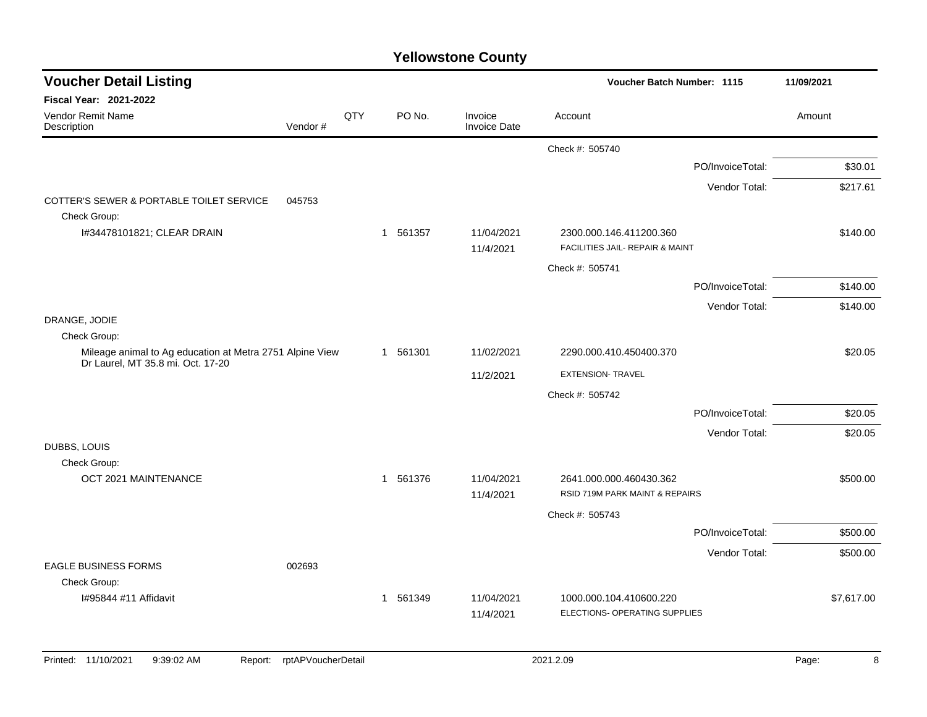| <b>Voucher Detail Listing</b>                                            |         |     |          | 11/09/2021                     |                                                            |                  |            |
|--------------------------------------------------------------------------|---------|-----|----------|--------------------------------|------------------------------------------------------------|------------------|------------|
| Fiscal Year: 2021-2022                                                   |         |     |          |                                |                                                            |                  |            |
| Vendor Remit Name<br>Description                                         | Vendor# | QTY | PO No.   | Invoice<br><b>Invoice Date</b> | Account                                                    |                  | Amount     |
|                                                                          |         |     |          |                                | Check #: 505740                                            |                  |            |
|                                                                          |         |     |          |                                |                                                            | PO/InvoiceTotal: | \$30.01    |
|                                                                          |         |     |          |                                |                                                            | Vendor Total:    | \$217.61   |
| COTTER'S SEWER & PORTABLE TOILET SERVICE<br>Check Group:                 | 045753  |     |          |                                |                                                            |                  |            |
| I#34478101821; CLEAR DRAIN                                               |         |     | 1 561357 | 11/04/2021<br>11/4/2021        | 2300.000.146.411200.360<br>FACILITIES JAIL- REPAIR & MAINT |                  | \$140.00   |
|                                                                          |         |     |          |                                | Check #: 505741                                            |                  |            |
|                                                                          |         |     |          |                                |                                                            | PO/InvoiceTotal: | \$140.00   |
|                                                                          |         |     |          |                                |                                                            | Vendor Total:    | \$140.00   |
| DRANGE, JODIE                                                            |         |     |          |                                |                                                            |                  |            |
| Check Group:<br>Mileage animal to Ag education at Metra 2751 Alpine View |         |     | 1 561301 | 11/02/2021                     | 2290.000.410.450400.370                                    |                  | \$20.05    |
| Dr Laurel, MT 35.8 mi. Oct. 17-20                                        |         |     |          | 11/2/2021                      | <b>EXTENSION- TRAVEL</b>                                   |                  |            |
|                                                                          |         |     |          |                                |                                                            |                  |            |
|                                                                          |         |     |          |                                | Check #: 505742                                            | PO/InvoiceTotal: | \$20.05    |
|                                                                          |         |     |          |                                |                                                            | Vendor Total:    | \$20.05    |
| DUBBS, LOUIS                                                             |         |     |          |                                |                                                            |                  |            |
| Check Group:                                                             |         |     |          |                                |                                                            |                  |            |
| OCT 2021 MAINTENANCE                                                     |         |     | 1 561376 | 11/04/2021<br>11/4/2021        | 2641.000.000.460430.362<br>RSID 719M PARK MAINT & REPAIRS  |                  | \$500.00   |
|                                                                          |         |     |          |                                | Check #: 505743                                            |                  |            |
|                                                                          |         |     |          |                                |                                                            | PO/InvoiceTotal: | \$500.00   |
| <b>EAGLE BUSINESS FORMS</b>                                              | 002693  |     |          |                                |                                                            | Vendor Total:    | \$500.00   |
| Check Group:                                                             |         |     |          |                                |                                                            |                  |            |
| I#95844 #11 Affidavit                                                    |         |     | 1 561349 | 11/04/2021                     | 1000.000.104.410600.220                                    |                  | \$7,617.00 |
|                                                                          |         |     |          | 11/4/2021                      | ELECTIONS- OPERATING SUPPLIES                              |                  |            |
|                                                                          |         |     |          |                                |                                                            |                  |            |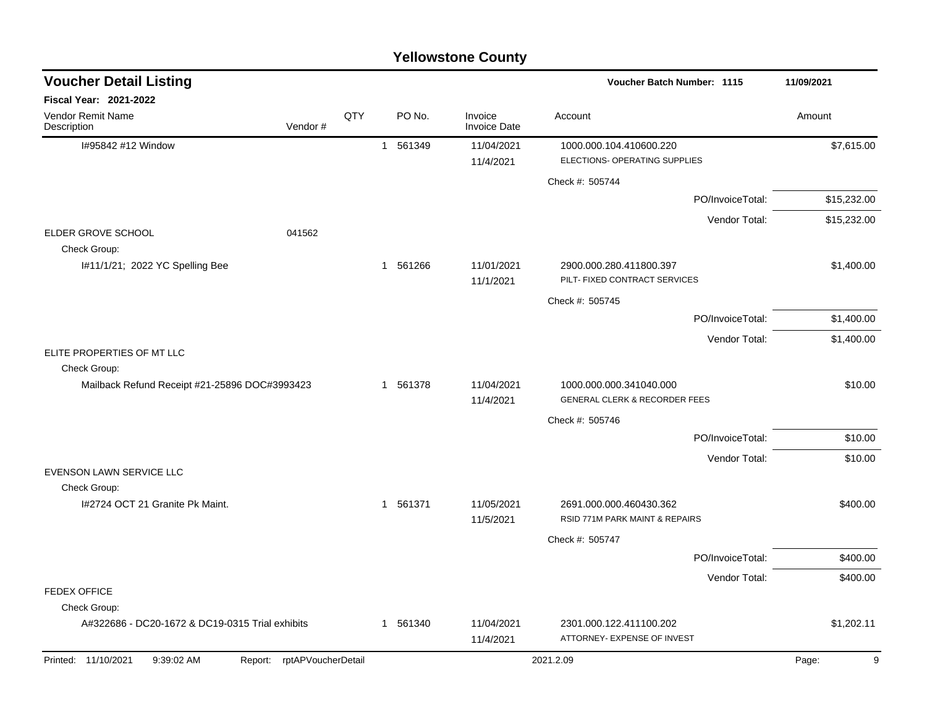|                                                 |                            |     |             | <b>Yellowstone County</b> |                                                                     |             |
|-------------------------------------------------|----------------------------|-----|-------------|---------------------------|---------------------------------------------------------------------|-------------|
| <b>Voucher Detail Listing</b>                   |                            |     |             |                           | <b>Voucher Batch Number: 1115</b>                                   | 11/09/2021  |
| Fiscal Year: 2021-2022                          |                            |     |             |                           |                                                                     |             |
| Vendor Remit Name<br>Description                | Vendor#                    | QTY | PO No.      | Invoice<br>Invoice Date   | Account                                                             | Amount      |
| I#95842 #12 Window                              |                            |     | 561349<br>1 | 11/04/2021<br>11/4/2021   | 1000.000.104.410600.220<br>ELECTIONS- OPERATING SUPPLIES            | \$7,615.00  |
|                                                 |                            |     |             |                           | Check #: 505744                                                     |             |
|                                                 |                            |     |             |                           | PO/InvoiceTotal:                                                    | \$15,232.00 |
|                                                 |                            |     |             |                           | Vendor Total:                                                       | \$15,232.00 |
| ELDER GROVE SCHOOL<br>Check Group:              | 041562                     |     |             |                           |                                                                     |             |
| I#11/1/21; 2022 YC Spelling Bee                 |                            |     | 561266<br>1 | 11/01/2021<br>11/1/2021   | 2900.000.280.411800.397<br>PILT- FIXED CONTRACT SERVICES            | \$1,400.00  |
|                                                 |                            |     |             |                           | Check #: 505745                                                     |             |
|                                                 |                            |     |             |                           | PO/InvoiceTotal:                                                    | \$1,400.00  |
|                                                 |                            |     |             |                           | Vendor Total:                                                       | \$1,400.00  |
| ELITE PROPERTIES OF MT LLC<br>Check Group:      |                            |     |             |                           |                                                                     |             |
| Mailback Refund Receipt #21-25896 DOC#3993423   |                            |     | 561378<br>1 | 11/04/2021<br>11/4/2021   | 1000.000.000.341040.000<br><b>GENERAL CLERK &amp; RECORDER FEES</b> | \$10.00     |
|                                                 |                            |     |             |                           | Check #: 505746                                                     |             |
|                                                 |                            |     |             |                           | PO/InvoiceTotal:                                                    | \$10.00     |
|                                                 |                            |     |             |                           | Vendor Total:                                                       | \$10.00     |
| EVENSON LAWN SERVICE LLC                        |                            |     |             |                           |                                                                     |             |
| Check Group:<br>I#2724 OCT 21 Granite Pk Maint. |                            |     | 561371<br>1 | 11/05/2021<br>11/5/2021   | 2691.000.000.460430.362<br>RSID 771M PARK MAINT & REPAIRS           | \$400.00    |
|                                                 |                            |     |             |                           | Check #: 505747                                                     |             |
|                                                 |                            |     |             |                           | PO/InvoiceTotal:                                                    | \$400.00    |
|                                                 |                            |     |             |                           | Vendor Total:                                                       | \$400.00    |
| <b>FEDEX OFFICE</b><br>Check Group:             |                            |     |             |                           |                                                                     |             |
| A#322686 - DC20-1672 & DC19-0315 Trial exhibits |                            |     | 1 561340    | 11/04/2021<br>11/4/2021   | 2301.000.122.411100.202<br>ATTORNEY- EXPENSE OF INVEST              | \$1,202.11  |
| Printed: 11/10/2021<br>9:39:02 AM               | Report: rptAPVoucherDetail |     |             |                           | 2021.2.09                                                           | 9<br>Page:  |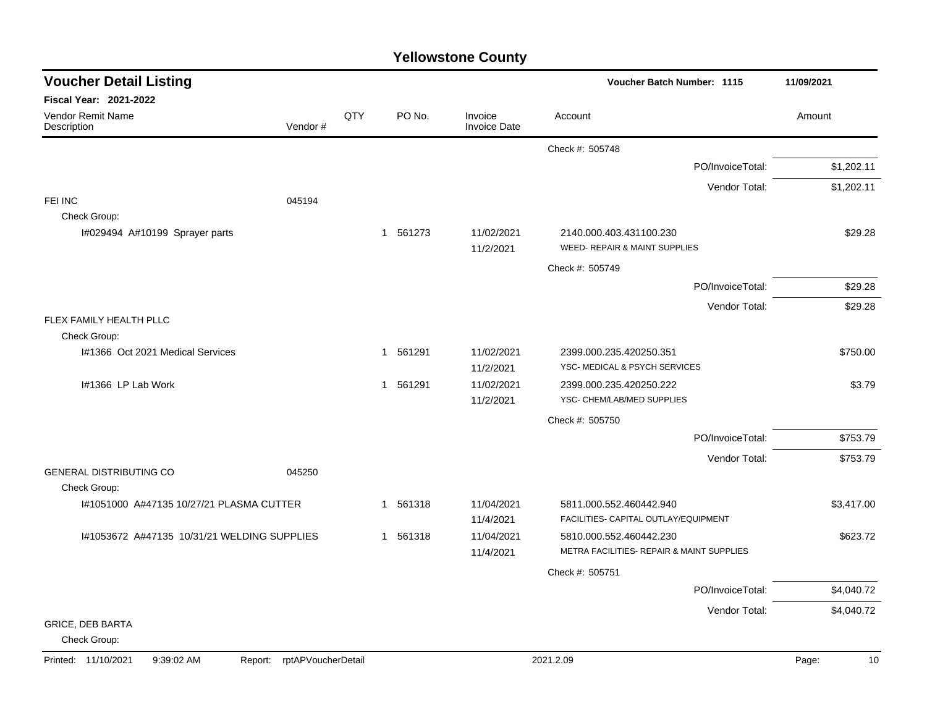| <b>Yellowstone County</b> |  |
|---------------------------|--|
|---------------------------|--|

| <b>Voucher Detail Listing</b>                  |                               |     |                        |                                | Voucher Batch Number: 1115                                           | 11/09/2021  |
|------------------------------------------------|-------------------------------|-----|------------------------|--------------------------------|----------------------------------------------------------------------|-------------|
| Fiscal Year: 2021-2022                         |                               |     |                        |                                |                                                                      |             |
| Vendor Remit Name<br>Description               | Vendor#                       | QTY | PO No.                 | Invoice<br><b>Invoice Date</b> | Account                                                              | Amount      |
|                                                |                               |     |                        |                                | Check #: 505748                                                      |             |
|                                                |                               |     |                        |                                | PO/InvoiceTotal:                                                     | \$1,202.11  |
|                                                |                               |     |                        |                                | Vendor Total:                                                        | \$1,202.11  |
| FEI INC                                        | 045194                        |     |                        |                                |                                                                      |             |
| Check Group:<br>I#029494 A#10199 Sprayer parts |                               |     | 561273<br>$\mathbf{1}$ | 11/02/2021<br>11/2/2021        | 2140.000.403.431100.230<br>WEED- REPAIR & MAINT SUPPLIES             | \$29.28     |
|                                                |                               |     |                        |                                | Check #: 505749                                                      |             |
|                                                |                               |     |                        |                                | PO/InvoiceTotal:                                                     | \$29.28     |
|                                                |                               |     |                        |                                | Vendor Total:                                                        | \$29.28     |
| FLEX FAMILY HEALTH PLLC<br>Check Group:        |                               |     |                        |                                |                                                                      |             |
| 1#1366 Oct 2021 Medical Services               |                               |     | 1 561291               | 11/02/2021<br>11/2/2021        | 2399.000.235.420250.351<br>YSC- MEDICAL & PSYCH SERVICES             | \$750.00    |
| I#1366 LP Lab Work                             |                               |     | 1 561291               | 11/02/2021<br>11/2/2021        | 2399.000.235.420250.222<br>YSC- CHEM/LAB/MED SUPPLIES                | \$3.79      |
|                                                |                               |     |                        |                                | Check #: 505750                                                      |             |
|                                                |                               |     |                        |                                | PO/InvoiceTotal:                                                     | \$753.79    |
|                                                |                               |     |                        |                                | Vendor Total:                                                        | \$753.79    |
| <b>GENERAL DISTRIBUTING CO</b><br>Check Group: | 045250                        |     |                        |                                |                                                                      |             |
| I#1051000 A#47135 10/27/21 PLASMA CUTTER       |                               |     | 1 561318               | 11/04/2021<br>11/4/2021        | 5811.000.552.460442.940<br>FACILITIES- CAPITAL OUTLAY/EQUIPMENT      | \$3,417.00  |
| I#1053672 A#47135 10/31/21 WELDING SUPPLIES    |                               |     | 561318<br>$\mathbf{1}$ | 11/04/2021<br>11/4/2021        | 5810.000.552.460442.230<br>METRA FACILITIES- REPAIR & MAINT SUPPLIES | \$623.72    |
|                                                |                               |     |                        |                                | Check #: 505751                                                      |             |
|                                                |                               |     |                        |                                | PO/InvoiceTotal:                                                     | \$4,040.72  |
|                                                |                               |     |                        |                                | Vendor Total:                                                        | \$4,040.72  |
| <b>GRICE, DEB BARTA</b><br>Check Group:        |                               |     |                        |                                |                                                                      |             |
| Printed: 11/10/2021<br>9:39:02 AM              | rptAPVoucherDetail<br>Report: |     |                        |                                | 2021.2.09                                                            | 10<br>Page: |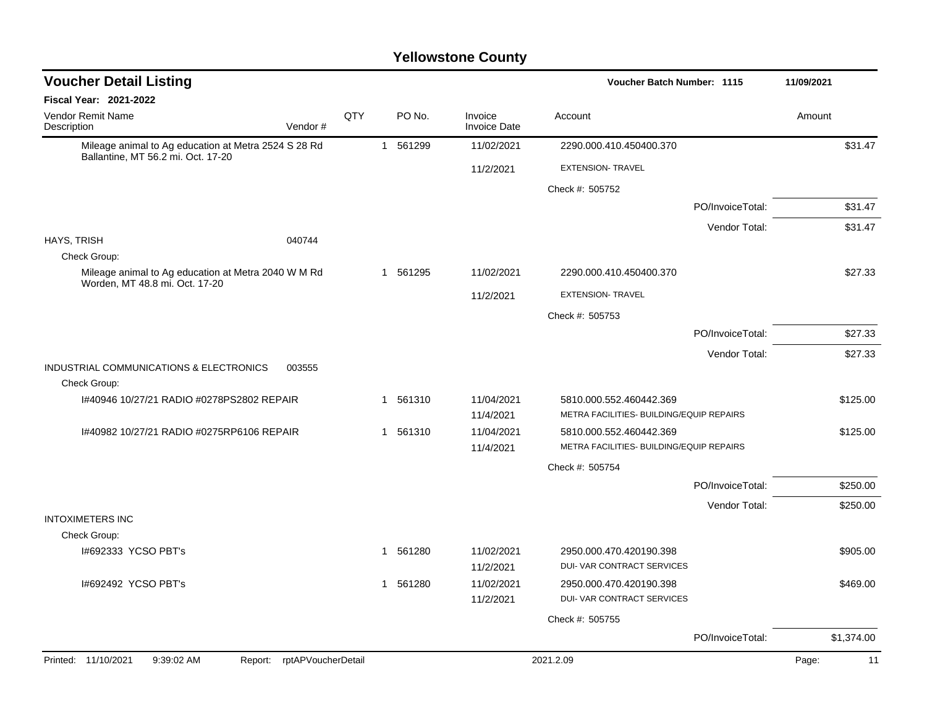| <b>Voucher Detail Listing</b>                                                              |         |     |              |          |                                | Voucher Batch Number: 1115                                          |                  | 11/09/2021 |            |
|--------------------------------------------------------------------------------------------|---------|-----|--------------|----------|--------------------------------|---------------------------------------------------------------------|------------------|------------|------------|
| Fiscal Year: 2021-2022                                                                     |         |     |              |          |                                |                                                                     |                  |            |            |
| Vendor Remit Name<br>Description                                                           | Vendor# | QTY |              | PO No.   | Invoice<br><b>Invoice Date</b> | Account                                                             |                  | Amount     |            |
| Mileage animal to Ag education at Metra 2524 S 28 Rd<br>Ballantine, MT 56.2 mi. Oct. 17-20 |         |     | $\mathbf{1}$ | 561299   | 11/02/2021                     | 2290.000.410.450400.370                                             |                  |            | \$31.47    |
|                                                                                            |         |     |              |          | 11/2/2021                      | <b>EXTENSION- TRAVEL</b>                                            |                  |            |            |
|                                                                                            |         |     |              |          |                                | Check #: 505752                                                     |                  |            |            |
|                                                                                            |         |     |              |          |                                |                                                                     | PO/InvoiceTotal: |            | \$31.47    |
|                                                                                            |         |     |              |          |                                |                                                                     | Vendor Total:    |            | \$31.47    |
| HAYS, TRISH                                                                                | 040744  |     |              |          |                                |                                                                     |                  |            |            |
| Check Group:                                                                               |         |     |              |          |                                |                                                                     |                  |            |            |
| Mileage animal to Ag education at Metra 2040 W M Rd<br>Worden, MT 48.8 mi. Oct. 17-20      |         |     |              | 1 561295 | 11/02/2021                     | 2290.000.410.450400.370                                             |                  |            | \$27.33    |
|                                                                                            |         |     |              |          | 11/2/2021                      | <b>EXTENSION- TRAVEL</b>                                            |                  |            |            |
|                                                                                            |         |     |              |          |                                | Check #: 505753                                                     |                  |            |            |
|                                                                                            |         |     |              |          |                                |                                                                     | PO/InvoiceTotal: |            | \$27.33    |
|                                                                                            |         |     |              |          |                                |                                                                     | Vendor Total:    |            | \$27.33    |
| INDUSTRIAL COMMUNICATIONS & ELECTRONICS                                                    | 003555  |     |              |          |                                |                                                                     |                  |            |            |
| Check Group:                                                                               |         |     |              |          |                                |                                                                     |                  |            |            |
| 1#40946 10/27/21 RADIO #0278PS2802 REPAIR                                                  |         |     |              | 1 561310 | 11/04/2021                     | 5810.000.552.460442.369<br>METRA FACILITIES- BUILDING/EQUIP REPAIRS |                  |            | \$125.00   |
|                                                                                            |         |     |              |          | 11/4/2021                      |                                                                     |                  |            |            |
| 1#40982 10/27/21 RADIO #0275RP6106 REPAIR                                                  |         |     |              | 1 561310 | 11/04/2021                     | 5810.000.552.460442.369                                             |                  |            | \$125.00   |
|                                                                                            |         |     |              |          | 11/4/2021                      | METRA FACILITIES- BUILDING/EQUIP REPAIRS                            |                  |            |            |
|                                                                                            |         |     |              |          |                                | Check #: 505754                                                     |                  |            |            |
|                                                                                            |         |     |              |          |                                |                                                                     | PO/InvoiceTotal: |            | \$250.00   |
|                                                                                            |         |     |              |          |                                |                                                                     | Vendor Total:    |            | \$250.00   |
| <b>INTOXIMETERS INC</b>                                                                    |         |     |              |          |                                |                                                                     |                  |            |            |
| Check Group:                                                                               |         |     |              |          |                                |                                                                     |                  |            |            |
| I#692333 YCSO PBT's                                                                        |         |     |              | 1 561280 | 11/02/2021<br>11/2/2021        | 2950.000.470.420190.398<br>DUI- VAR CONTRACT SERVICES               |                  |            | \$905.00   |
| 1#692492 YCSO PBT's                                                                        |         |     |              | 1 561280 | 11/02/2021                     | 2950.000.470.420190.398                                             |                  |            | \$469.00   |
|                                                                                            |         |     |              |          | 11/2/2021                      | DUI- VAR CONTRACT SERVICES                                          |                  |            |            |
|                                                                                            |         |     |              |          |                                | Check #: 505755                                                     |                  |            |            |
|                                                                                            |         |     |              |          |                                |                                                                     | PO/InvoiceTotal: |            | \$1,374.00 |
| Report: rptAPVoucherDetail<br>Printed: 11/10/2021<br>9:39:02 AM                            |         |     |              |          |                                | 2021.2.09                                                           |                  | Page:      | 11         |
|                                                                                            |         |     |              |          |                                |                                                                     |                  |            |            |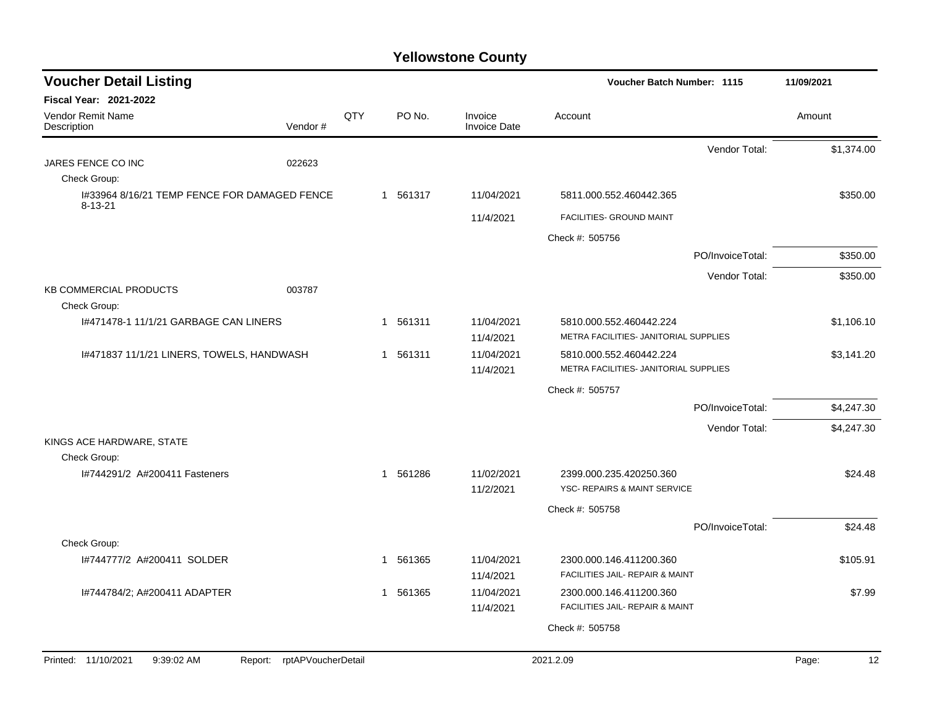| <b>Voucher Detail Listing</b>                                 |                               |     | Voucher Batch Number: 1115 |                                |                                                         |                  |             |
|---------------------------------------------------------------|-------------------------------|-----|----------------------------|--------------------------------|---------------------------------------------------------|------------------|-------------|
| <b>Fiscal Year: 2021-2022</b>                                 |                               |     |                            |                                |                                                         |                  |             |
| Vendor Remit Name<br>Description                              | Vendor#                       | QTY | PO No.                     | Invoice<br><b>Invoice Date</b> | Account                                                 |                  | Amount      |
|                                                               |                               |     |                            |                                |                                                         | Vendor Total:    | \$1,374.00  |
| JARES FENCE CO INC                                            | 022623                        |     |                            |                                |                                                         |                  |             |
| Check Group:                                                  |                               |     |                            |                                |                                                         |                  |             |
| I#33964 8/16/21 TEMP FENCE FOR DAMAGED FENCE<br>$8 - 13 - 21$ |                               |     | 1 561317                   | 11/04/2021                     | 5811.000.552.460442.365                                 |                  | \$350.00    |
|                                                               |                               |     |                            | 11/4/2021                      | FACILITIES- GROUND MAINT                                |                  |             |
|                                                               |                               |     |                            |                                | Check #: 505756                                         |                  |             |
|                                                               |                               |     |                            |                                |                                                         | PO/InvoiceTotal: | \$350.00    |
|                                                               |                               |     |                            |                                |                                                         | Vendor Total:    | \$350.00    |
| <b>KB COMMERCIAL PRODUCTS</b><br>Check Group:                 | 003787                        |     |                            |                                |                                                         |                  |             |
| 1#471478-1 11/1/21 GARBAGE CAN LINERS                         |                               |     | 1 561311                   | 11/04/2021                     | 5810.000.552.460442.224                                 |                  | \$1,106.10  |
|                                                               |                               |     |                            | 11/4/2021                      | METRA FACILITIES- JANITORIAL SUPPLIES                   |                  |             |
| 1#471837 11/1/21 LINERS, TOWELS, HANDWASH                     |                               |     | 1 561311                   | 11/04/2021                     | 5810.000.552.460442.224                                 |                  | \$3,141.20  |
|                                                               |                               |     |                            | 11/4/2021                      | METRA FACILITIES- JANITORIAL SUPPLIES                   |                  |             |
|                                                               |                               |     |                            |                                | Check #: 505757                                         |                  |             |
|                                                               |                               |     |                            |                                |                                                         | PO/InvoiceTotal: | \$4,247.30  |
|                                                               |                               |     |                            |                                |                                                         | Vendor Total:    | \$4,247.30  |
| KINGS ACE HARDWARE, STATE                                     |                               |     |                            |                                |                                                         |                  |             |
| Check Group:<br>I#744291/2 A#200411 Fasteners                 |                               |     |                            |                                |                                                         |                  |             |
|                                                               |                               |     | 1 561286                   | 11/02/2021<br>11/2/2021        | 2399.000.235.420250.360<br>YSC- REPAIRS & MAINT SERVICE |                  | \$24.48     |
|                                                               |                               |     |                            |                                | Check #: 505758                                         |                  |             |
|                                                               |                               |     |                            |                                |                                                         | PO/InvoiceTotal: | \$24.48     |
| Check Group:                                                  |                               |     |                            |                                |                                                         |                  |             |
| I#744777/2 A#200411 SOLDER                                    |                               |     | 561365<br>1                | 11/04/2021                     | 2300.000.146.411200.360                                 |                  | \$105.91    |
|                                                               |                               |     |                            | 11/4/2021                      | FACILITIES JAIL- REPAIR & MAINT                         |                  |             |
| I#744784/2; A#200411 ADAPTER                                  |                               |     | 561365<br>1                | 11/04/2021                     | 2300.000.146.411200.360                                 |                  | \$7.99      |
|                                                               |                               |     |                            | 11/4/2021                      | FACILITIES JAIL- REPAIR & MAINT                         |                  |             |
|                                                               |                               |     |                            |                                | Check #: 505758                                         |                  |             |
| Printed: 11/10/2021<br>9:39:02 AM                             | rptAPVoucherDetail<br>Report: |     |                            |                                | 2021.2.09                                               |                  | 12<br>Page: |
|                                                               |                               |     |                            |                                |                                                         |                  |             |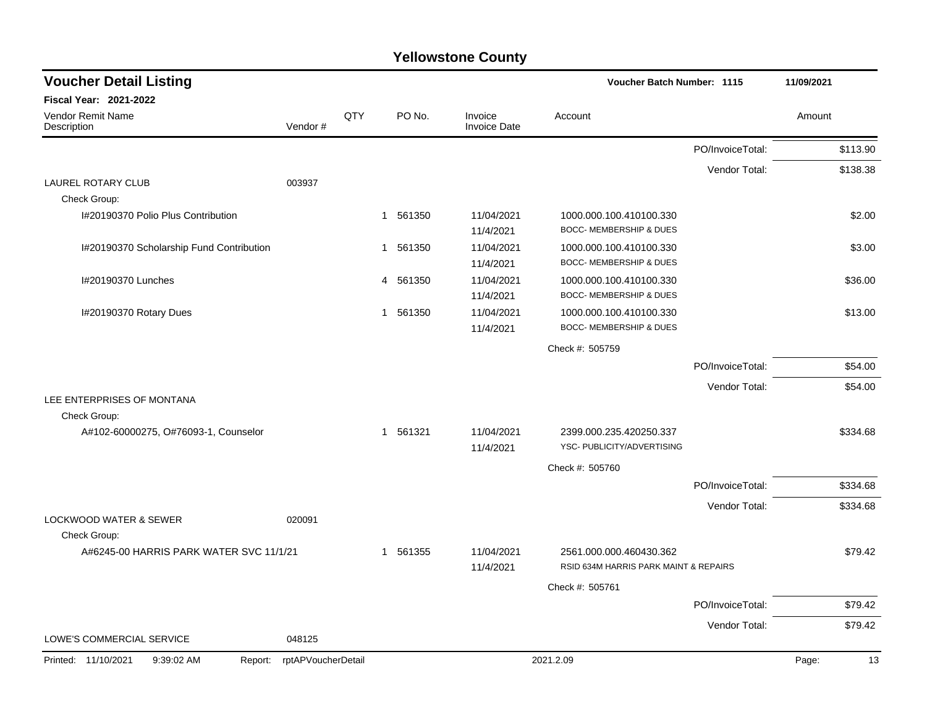| <b>Voucher Detail Listing</b>                     |                    |     |                        |                                | <b>Voucher Batch Number: 1115</b>                                |                  | 11/09/2021  |
|---------------------------------------------------|--------------------|-----|------------------------|--------------------------------|------------------------------------------------------------------|------------------|-------------|
| <b>Fiscal Year: 2021-2022</b>                     |                    |     |                        |                                |                                                                  |                  |             |
| <b>Vendor Remit Name</b><br>Description           | Vendor#            | QTY | PO No.                 | Invoice<br><b>Invoice Date</b> | Account                                                          |                  | Amount      |
|                                                   |                    |     |                        |                                |                                                                  | PO/InvoiceTotal: | \$113.90    |
|                                                   |                    |     |                        |                                |                                                                  | Vendor Total:    | \$138.38    |
| <b>LAUREL ROTARY CLUB</b><br>Check Group:         | 003937             |     |                        |                                |                                                                  |                  |             |
| I#20190370 Polio Plus Contribution                |                    |     | 561350<br>$\mathbf{1}$ | 11/04/2021<br>11/4/2021        | 1000.000.100.410100.330<br><b>BOCC- MEMBERSHIP &amp; DUES</b>    |                  | \$2.00      |
| I#20190370 Scholarship Fund Contribution          |                    |     | 561350<br>1            | 11/04/2021<br>11/4/2021        | 1000.000.100.410100.330<br><b>BOCC- MEMBERSHIP &amp; DUES</b>    |                  | \$3.00      |
| I#20190370 Lunches                                |                    |     | 561350<br>4            | 11/04/2021<br>11/4/2021        | 1000.000.100.410100.330<br><b>BOCC- MEMBERSHIP &amp; DUES</b>    |                  | \$36.00     |
| I#20190370 Rotary Dues                            |                    |     | 1 561350               | 11/04/2021<br>11/4/2021        | 1000.000.100.410100.330<br>BOCC- MEMBERSHIP & DUES               |                  | \$13.00     |
|                                                   |                    |     |                        |                                | Check #: 505759                                                  |                  |             |
|                                                   |                    |     |                        |                                |                                                                  | PO/InvoiceTotal: | \$54.00     |
|                                                   |                    |     |                        |                                |                                                                  | Vendor Total:    | \$54.00     |
| LEE ENTERPRISES OF MONTANA                        |                    |     |                        |                                |                                                                  |                  |             |
| Check Group:                                      |                    |     |                        |                                |                                                                  |                  |             |
| A#102-60000275, O#76093-1, Counselor              |                    |     | 1 561321               | 11/04/2021<br>11/4/2021        | 2399.000.235.420250.337<br>YSC- PUBLICITY/ADVERTISING            |                  | \$334.68    |
|                                                   |                    |     |                        |                                | Check #: 505760                                                  |                  |             |
|                                                   |                    |     |                        |                                |                                                                  | PO/InvoiceTotal: | \$334.68    |
|                                                   |                    |     |                        |                                |                                                                  | Vendor Total:    | \$334.68    |
| <b>LOCKWOOD WATER &amp; SEWER</b><br>Check Group: | 020091             |     |                        |                                |                                                                  |                  |             |
| A#6245-00 HARRIS PARK WATER SVC 11/1/21           |                    |     | 561355<br>$\mathbf{1}$ | 11/04/2021<br>11/4/2021        | 2561.000.000.460430.362<br>RSID 634M HARRIS PARK MAINT & REPAIRS |                  | \$79.42     |
|                                                   |                    |     |                        |                                | Check #: 505761                                                  |                  |             |
|                                                   |                    |     |                        |                                |                                                                  | PO/InvoiceTotal: | \$79.42     |
|                                                   |                    |     |                        |                                |                                                                  | Vendor Total:    | \$79.42     |
| LOWE'S COMMERCIAL SERVICE                         | 048125             |     |                        |                                |                                                                  |                  |             |
| Printed: 11/10/2021<br>9:39:02 AM<br>Report:      | rptAPVoucherDetail |     |                        |                                | 2021.2.09                                                        |                  | Page:<br>13 |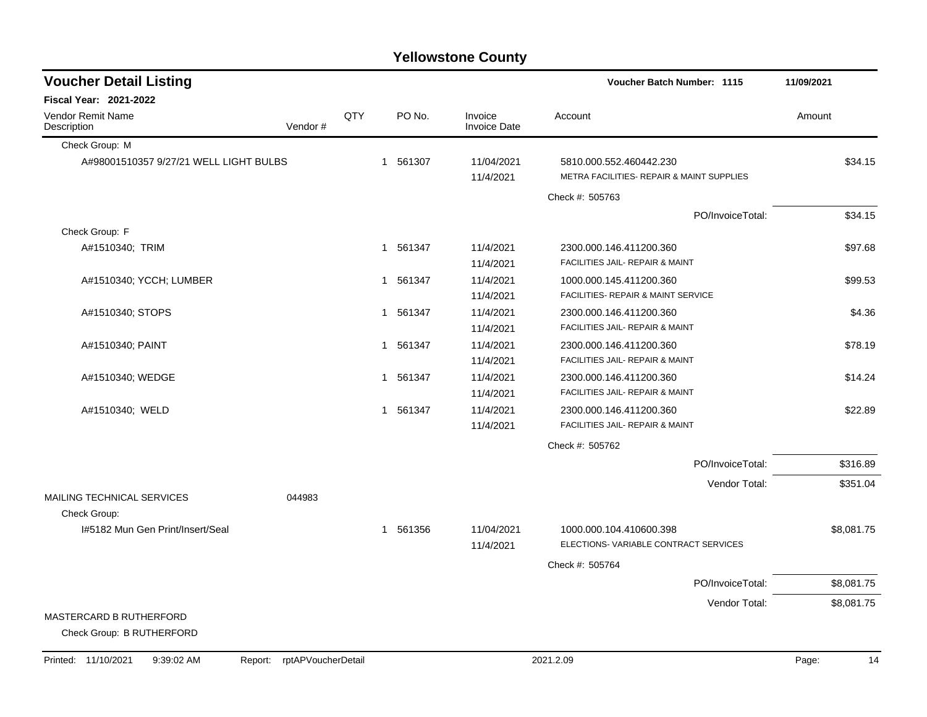| <b>Voucher Detail Listing</b>                               |         |     |                        |                                | Voucher Batch Number: 1115                                            | 11/09/2021 |
|-------------------------------------------------------------|---------|-----|------------------------|--------------------------------|-----------------------------------------------------------------------|------------|
| <b>Fiscal Year: 2021-2022</b>                               |         |     |                        |                                |                                                                       |            |
| Vendor Remit Name<br>Description                            | Vendor# | QTY | PO No.                 | Invoice<br><b>Invoice Date</b> | Account                                                               | Amount     |
| Check Group: M                                              |         |     |                        |                                |                                                                       |            |
| A#98001510357 9/27/21 WELL LIGHT BULBS                      |         |     | 1 561307               | 11/04/2021<br>11/4/2021        | 5810.000.552.460442.230<br>METRA FACILITIES- REPAIR & MAINT SUPPLIES  | \$34.15    |
|                                                             |         |     |                        |                                | Check #: 505763                                                       |            |
|                                                             |         |     |                        |                                | PO/InvoiceTotal:                                                      | \$34.15    |
| Check Group: F                                              |         |     |                        |                                |                                                                       |            |
| A#1510340; TRIM                                             |         |     | 1 561347               | 11/4/2021<br>11/4/2021         | 2300.000.146.411200.360<br><b>FACILITIES JAIL- REPAIR &amp; MAINT</b> | \$97.68    |
| A#1510340; YCCH; LUMBER                                     |         |     | 1 561347               | 11/4/2021<br>11/4/2021         | 1000.000.145.411200.360<br>FACILITIES- REPAIR & MAINT SERVICE         | \$99.53    |
| A#1510340; STOPS                                            |         |     | 561347<br>$\mathbf{1}$ | 11/4/2021<br>11/4/2021         | 2300.000.146.411200.360<br>FACILITIES JAIL- REPAIR & MAINT            | \$4.36     |
| A#1510340; PAINT                                            |         |     | 561347<br>1            | 11/4/2021<br>11/4/2021         | 2300.000.146.411200.360<br>FACILITIES JAIL- REPAIR & MAINT            | \$78.19    |
| A#1510340; WEDGE                                            |         |     | 1 561347               | 11/4/2021<br>11/4/2021         | 2300.000.146.411200.360<br>FACILITIES JAIL- REPAIR & MAINT            | \$14.24    |
| A#1510340; WELD                                             |         |     | 1 561347               | 11/4/2021<br>11/4/2021         | 2300.000.146.411200.360<br>FACILITIES JAIL- REPAIR & MAINT            | \$22.89    |
|                                                             |         |     |                        |                                | Check #: 505762                                                       |            |
|                                                             |         |     |                        |                                | PO/InvoiceTotal:                                                      | \$316.89   |
| MAILING TECHNICAL SERVICES                                  | 044983  |     |                        |                                | Vendor Total:                                                         | \$351.04   |
| Check Group:                                                |         |     |                        |                                |                                                                       |            |
| I#5182 Mun Gen Print/Insert/Seal                            |         |     | 1 561356               | 11/04/2021<br>11/4/2021        | 1000.000.104.410600.398<br>ELECTIONS-VARIABLE CONTRACT SERVICES       | \$8,081.75 |
|                                                             |         |     |                        |                                | Check #: 505764                                                       |            |
|                                                             |         |     |                        |                                | PO/InvoiceTotal:                                                      | \$8,081.75 |
|                                                             |         |     |                        |                                | Vendor Total:                                                         | \$8,081.75 |
| <b>MASTERCARD B RUTHERFORD</b><br>Check Group: B RUTHERFORD |         |     |                        |                                |                                                                       |            |

Printed: 11/10/2021 9:39:02 AM Report: rptAPVoucherDetail 2021.2.09 2021.2.09 Page: 14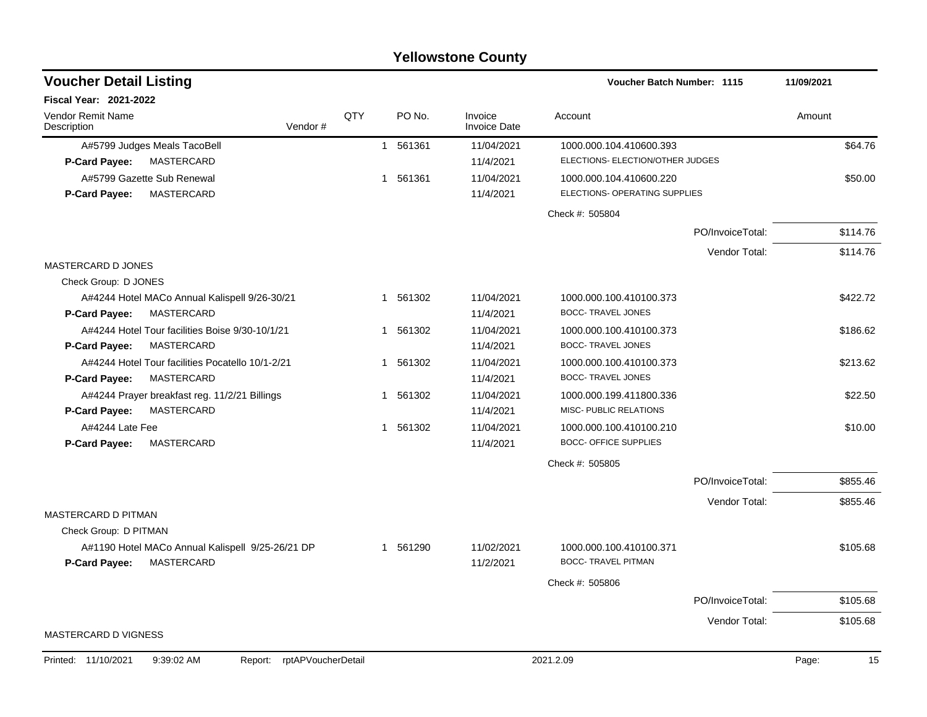| <b>Yellowstone County</b>                                                       |             |                        |                                |                                                         |                  |             |  |  |  |  |  |
|---------------------------------------------------------------------------------|-------------|------------------------|--------------------------------|---------------------------------------------------------|------------------|-------------|--|--|--|--|--|
| <b>Voucher Detail Listing</b>                                                   |             |                        |                                | Voucher Batch Number: 1115                              |                  | 11/09/2021  |  |  |  |  |  |
| <b>Fiscal Year: 2021-2022</b>                                                   |             |                        |                                |                                                         |                  |             |  |  |  |  |  |
| Vendor Remit Name<br>Vendor#<br>Description                                     | QTY         | PO No.                 | Invoice<br><b>Invoice Date</b> | Account                                                 |                  | Amount      |  |  |  |  |  |
| A#5799 Judges Meals TacoBell                                                    |             | 561361<br>$\mathbf{1}$ | 11/04/2021                     | 1000.000.104.410600.393                                 |                  | \$64.76     |  |  |  |  |  |
| MASTERCARD<br><b>P-Card Payee:</b>                                              |             |                        | 11/4/2021                      | ELECTIONS- ELECTION/OTHER JUDGES                        |                  |             |  |  |  |  |  |
| A#5799 Gazette Sub Renewal                                                      | $\mathbf 1$ | 561361                 | 11/04/2021                     | 1000.000.104.410600.220                                 |                  | \$50.00     |  |  |  |  |  |
| MASTERCARD<br>P-Card Payee:                                                     |             |                        | 11/4/2021                      | ELECTIONS- OPERATING SUPPLIES                           |                  |             |  |  |  |  |  |
|                                                                                 |             |                        |                                | Check #: 505804                                         |                  |             |  |  |  |  |  |
|                                                                                 |             |                        |                                |                                                         | PO/InvoiceTotal: | \$114.76    |  |  |  |  |  |
|                                                                                 |             |                        |                                |                                                         | Vendor Total:    | \$114.76    |  |  |  |  |  |
| MASTERCARD D JONES                                                              |             |                        |                                |                                                         |                  |             |  |  |  |  |  |
| Check Group: D JONES                                                            |             |                        |                                |                                                         |                  |             |  |  |  |  |  |
| A#4244 Hotel MACo Annual Kalispell 9/26-30/21                                   |             | 561302<br>1            | 11/04/2021                     | 1000.000.100.410100.373                                 |                  | \$422.72    |  |  |  |  |  |
| MASTERCARD<br>P-Card Payee:                                                     |             |                        | 11/4/2021                      | <b>BOCC- TRAVEL JONES</b>                               |                  |             |  |  |  |  |  |
| A#4244 Hotel Tour facilities Boise 9/30-10/1/21                                 |             | 561302<br>1            | 11/04/2021                     | 1000.000.100.410100.373                                 |                  | \$186.62    |  |  |  |  |  |
| MASTERCARD<br>P-Card Payee:                                                     |             |                        | 11/4/2021                      | <b>BOCC- TRAVEL JONES</b>                               |                  |             |  |  |  |  |  |
| A#4244 Hotel Tour facilities Pocatello 10/1-2/21                                |             | 561302<br>1            | 11/04/2021                     | 1000.000.100.410100.373                                 |                  | \$213.62    |  |  |  |  |  |
| P-Card Payee:<br>MASTERCARD                                                     |             |                        | 11/4/2021                      | <b>BOCC- TRAVEL JONES</b>                               |                  |             |  |  |  |  |  |
| A#4244 Prayer breakfast reg. 11/2/21 Billings<br><b>MASTERCARD</b>              | $\mathbf 1$ | 561302                 | 11/04/2021                     | 1000.000.199.411800.336<br>MISC- PUBLIC RELATIONS       |                  | \$22.50     |  |  |  |  |  |
| P-Card Payee:                                                                   |             |                        | 11/4/2021                      |                                                         |                  |             |  |  |  |  |  |
| A#4244 Late Fee<br><b>MASTERCARD</b><br><b>P-Card Payee:</b>                    |             | 561302<br>1            | 11/04/2021<br>11/4/2021        | 1000.000.100.410100.210<br><b>BOCC- OFFICE SUPPLIES</b> |                  | \$10.00     |  |  |  |  |  |
|                                                                                 |             |                        |                                |                                                         |                  |             |  |  |  |  |  |
|                                                                                 |             |                        |                                | Check #: 505805                                         |                  |             |  |  |  |  |  |
|                                                                                 |             |                        |                                |                                                         | PO/InvoiceTotal: | \$855.46    |  |  |  |  |  |
|                                                                                 |             |                        |                                |                                                         | Vendor Total:    | \$855.46    |  |  |  |  |  |
| MASTERCARD D PITMAN                                                             |             |                        |                                |                                                         |                  |             |  |  |  |  |  |
| Check Group: D PITMAN                                                           |             | 561290                 | 11/02/2021                     |                                                         |                  | \$105.68    |  |  |  |  |  |
| A#1190 Hotel MACo Annual Kalispell 9/25-26/21 DP<br>MASTERCARD<br>P-Card Payee: |             | 1                      | 11/2/2021                      | 1000.000.100.410100.371<br><b>BOCC- TRAVEL PITMAN</b>   |                  |             |  |  |  |  |  |
|                                                                                 |             |                        |                                | Check #: 505806                                         |                  |             |  |  |  |  |  |
|                                                                                 |             |                        |                                |                                                         | PO/InvoiceTotal: | \$105.68    |  |  |  |  |  |
|                                                                                 |             |                        |                                |                                                         | Vendor Total:    | \$105.68    |  |  |  |  |  |
| <b>MASTERCARD D VIGNESS</b>                                                     |             |                        |                                |                                                         |                  |             |  |  |  |  |  |
| 9:39:02 AM<br>Printed: 11/10/2021<br>Report: rptAPVoucherDetail                 |             |                        |                                | 2021.2.09                                               |                  | Page:<br>15 |  |  |  |  |  |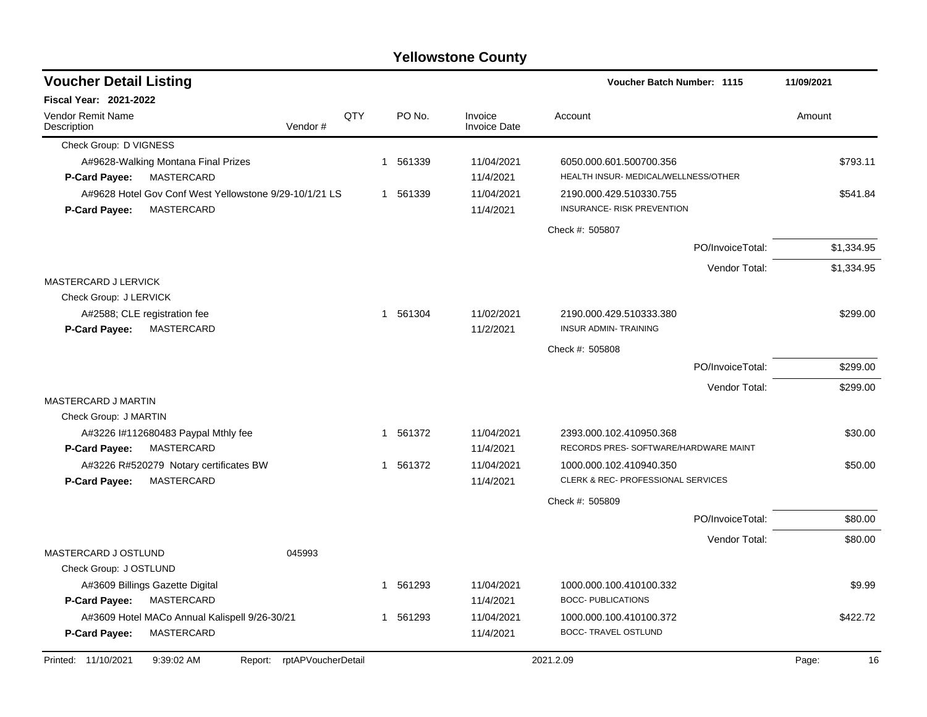| <b>Voucher Detail Listing</b>                                                         |                    |     |          |                                | <b>Voucher Batch Number: 1115</b>                                |                  | 11/09/2021  |
|---------------------------------------------------------------------------------------|--------------------|-----|----------|--------------------------------|------------------------------------------------------------------|------------------|-------------|
| <b>Fiscal Year: 2021-2022</b>                                                         |                    |     |          |                                |                                                                  |                  |             |
| <b>Vendor Remit Name</b><br>Description                                               | Vendor#            | QTY | PO No.   | Invoice<br><b>Invoice Date</b> | Account                                                          |                  | Amount      |
| Check Group: D VIGNESS                                                                |                    |     |          |                                |                                                                  |                  |             |
| A#9628-Walking Montana Final Prizes                                                   |                    |     | 1 561339 | 11/04/2021                     | 6050.000.601.500700.356                                          |                  | \$793.11    |
| MASTERCARD<br><b>P-Card Payee:</b>                                                    |                    |     |          | 11/4/2021                      | HEALTH INSUR- MEDICAL/WELLNESS/OTHER                             |                  |             |
| A#9628 Hotel Gov Conf West Yellowstone 9/29-10/1/21 LS<br>P-Card Payee:<br>MASTERCARD |                    |     | 1 561339 | 11/04/2021<br>11/4/2021        | 2190.000.429.510330.755<br>INSURANCE- RISK PREVENTION            |                  | \$541.84    |
|                                                                                       |                    |     |          |                                | Check #: 505807                                                  |                  |             |
|                                                                                       |                    |     |          |                                |                                                                  | PO/InvoiceTotal: | \$1,334.95  |
|                                                                                       |                    |     |          |                                |                                                                  | Vendor Total:    | \$1,334.95  |
| MASTERCARD J LERVICK                                                                  |                    |     |          |                                |                                                                  |                  |             |
| Check Group: J LERVICK                                                                |                    |     |          |                                |                                                                  |                  |             |
| A#2588; CLE registration fee                                                          |                    |     | 1 561304 | 11/02/2021                     | 2190.000.429.510333.380                                          |                  | \$299.00    |
| MASTERCARD<br><b>P-Card Payee:</b>                                                    |                    |     |          | 11/2/2021                      | <b>INSUR ADMIN- TRAINING</b>                                     |                  |             |
|                                                                                       |                    |     |          |                                | Check #: 505808                                                  |                  |             |
|                                                                                       |                    |     |          |                                |                                                                  | PO/InvoiceTotal: | \$299.00    |
|                                                                                       |                    |     |          |                                |                                                                  | Vendor Total:    | \$299.00    |
| MASTERCARD J MARTIN                                                                   |                    |     |          |                                |                                                                  |                  |             |
| Check Group: J MARTIN                                                                 |                    |     |          |                                |                                                                  |                  |             |
| A#3226 I#112680483 Paypal Mthly fee<br>MASTERCARD<br><b>P-Card Payee:</b>             |                    |     | 1 561372 | 11/04/2021<br>11/4/2021        | 2393.000.102.410950.368<br>RECORDS PRES- SOFTWARE/HARDWARE MAINT |                  | \$30.00     |
| A#3226 R#520279 Notary certificates BW                                                |                    |     | 1 561372 | 11/04/2021                     | 1000.000.102.410940.350                                          |                  | \$50.00     |
| MASTERCARD<br><b>P-Card Payee:</b>                                                    |                    |     |          | 11/4/2021                      | CLERK & REC- PROFESSIONAL SERVICES                               |                  |             |
|                                                                                       |                    |     |          |                                | Check #: 505809                                                  |                  |             |
|                                                                                       |                    |     |          |                                |                                                                  | PO/InvoiceTotal: | \$80.00     |
|                                                                                       |                    |     |          |                                |                                                                  | Vendor Total:    | \$80.00     |
| MASTERCARD J OSTLUND                                                                  | 045993             |     |          |                                |                                                                  |                  |             |
| Check Group: J OSTLUND                                                                |                    |     |          |                                |                                                                  |                  |             |
| A#3609 Billings Gazette Digital                                                       |                    |     | 1 561293 | 11/04/2021                     | 1000.000.100.410100.332                                          |                  | \$9.99      |
| MASTERCARD<br>P-Card Payee:                                                           |                    |     |          | 11/4/2021                      | <b>BOCC- PUBLICATIONS</b>                                        |                  |             |
| A#3609 Hotel MACo Annual Kalispell 9/26-30/21<br>MASTERCARD                           |                    |     | 1 561293 | 11/04/2021<br>11/4/2021        | 1000.000.100.410100.372<br><b>BOCC- TRAVEL OSTLUND</b>           |                  | \$422.72    |
| P-Card Payee:                                                                         |                    |     |          |                                |                                                                  |                  |             |
| Printed: 11/10/2021<br>9:39:02 AM<br>Report:                                          | rptAPVoucherDetail |     |          |                                | 2021.2.09                                                        |                  | 16<br>Page: |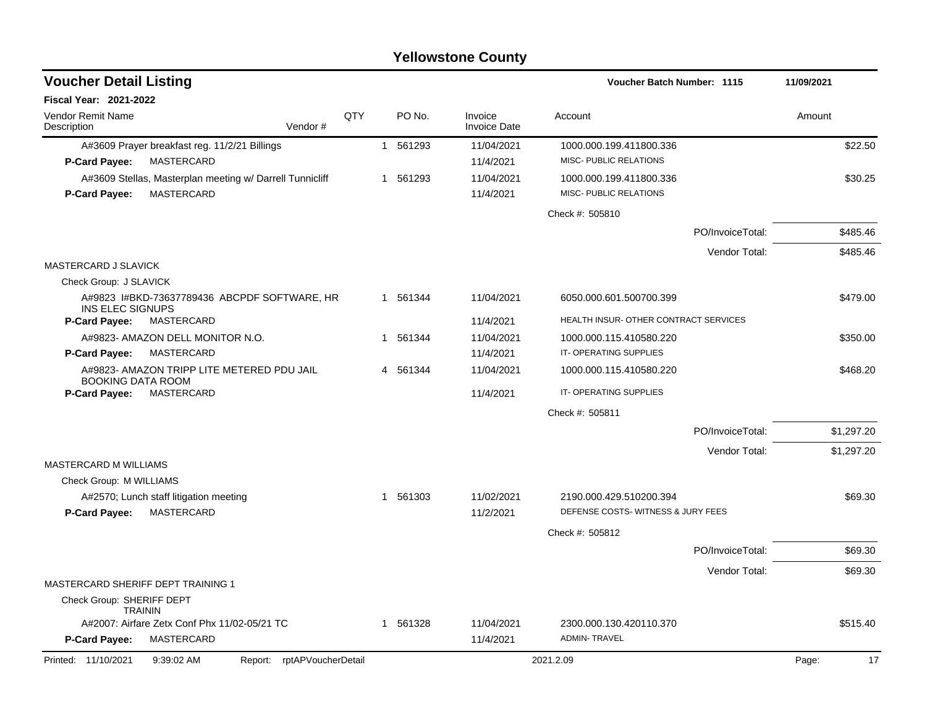| <b>Voucher Detail Listing</b>                                                                  |                    |     |          |                                | Voucher Batch Number: 1115                               |                  | 11/09/2021 |            |
|------------------------------------------------------------------------------------------------|--------------------|-----|----------|--------------------------------|----------------------------------------------------------|------------------|------------|------------|
| <b>Fiscal Year: 2021-2022</b>                                                                  |                    |     |          |                                |                                                          |                  |            |            |
| Vendor Remit Name<br>Description                                                               | Vendor#            | QTY | PO No.   | Invoice<br><b>Invoice Date</b> | Account                                                  |                  | Amount     |            |
| A#3609 Prayer breakfast reg. 11/2/21 Billings<br>MASTERCARD<br><b>P-Card Payee:</b>            |                    |     | 1 561293 | 11/04/2021<br>11/4/2021        | 1000.000.199.411800.336<br>MISC- PUBLIC RELATIONS        |                  |            | \$22.50    |
| A#3609 Stellas, Masterplan meeting w/ Darrell Tunnicliff<br>MASTERCARD<br><b>P-Card Payee:</b> |                    |     | 1 561293 | 11/04/2021<br>11/4/2021        | 1000.000.199.411800.336<br><b>MISC- PUBLIC RELATIONS</b> |                  |            | \$30.25    |
|                                                                                                |                    |     |          |                                | Check #: 505810                                          |                  |            |            |
|                                                                                                |                    |     |          |                                |                                                          | PO/InvoiceTotal: |            | \$485.46   |
|                                                                                                |                    |     |          |                                |                                                          | Vendor Total:    |            | \$485.46   |
| MASTERCARD J SLAVICK                                                                           |                    |     |          |                                |                                                          |                  |            |            |
| Check Group: J SLAVICK                                                                         |                    |     |          |                                |                                                          |                  |            |            |
| A#9823 I#BKD-73637789436 ABCPDF SOFTWARE, HR<br><b>INS ELEC SIGNUPS</b>                        |                    |     | 1 561344 | 11/04/2021                     | 6050.000.601.500700.399                                  |                  |            | \$479.00   |
| P-Card Payee:<br>MASTERCARD                                                                    |                    |     |          | 11/4/2021                      | HEALTH INSUR- OTHER CONTRACT SERVICES                    |                  |            |            |
| A#9823- AMAZON DELL MONITOR N.O.                                                               |                    |     | 1 561344 | 11/04/2021                     | 1000.000.115.410580.220                                  |                  |            | \$350.00   |
| <b>MASTERCARD</b><br>P-Card Payee:                                                             |                    |     |          | 11/4/2021                      | IT-OPERATING SUPPLIES                                    |                  |            |            |
| A#9823- AMAZON TRIPP LITE METERED PDU JAIL<br><b>BOOKING DATA ROOM</b>                         |                    |     | 4 561344 | 11/04/2021                     | 1000.000.115.410580.220                                  |                  |            | \$468.20   |
| MASTERCARD<br><b>P-Card Payee:</b>                                                             |                    |     |          | 11/4/2021                      | IT-OPERATING SUPPLIES                                    |                  |            |            |
|                                                                                                |                    |     |          |                                | Check #: 505811                                          |                  |            |            |
|                                                                                                |                    |     |          |                                |                                                          | PO/InvoiceTotal: |            | \$1,297.20 |
|                                                                                                |                    |     |          |                                |                                                          | Vendor Total:    |            | \$1,297.20 |
| MASTERCARD M WILLIAMS                                                                          |                    |     |          |                                |                                                          |                  |            |            |
| Check Group: M WILLIAMS                                                                        |                    |     |          |                                |                                                          |                  |            |            |
| A#2570; Lunch staff litigation meeting                                                         |                    |     | 1 561303 | 11/02/2021                     | 2190.000.429.510200.394                                  |                  |            | \$69.30    |
| P-Card Payee:<br>MASTERCARD                                                                    |                    |     |          | 11/2/2021                      | DEFENSE COSTS-WITNESS & JURY FEES                        |                  |            |            |
|                                                                                                |                    |     |          |                                | Check #: 505812                                          |                  |            |            |
|                                                                                                |                    |     |          |                                |                                                          | PO/InvoiceTotal: |            | \$69.30    |
|                                                                                                |                    |     |          |                                |                                                          | Vendor Total:    |            | \$69.30    |
| MASTERCARD SHERIFF DEPT TRAINING 1                                                             |                    |     |          |                                |                                                          |                  |            |            |
| Check Group: SHERIFF DEPT<br><b>TRAININ</b>                                                    |                    |     |          |                                |                                                          |                  |            |            |
| A#2007: Airfare Zetx Conf Phx 11/02-05/21 TC                                                   |                    |     | 1 561328 | 11/04/2021                     | 2300.000.130.420110.370                                  |                  |            | \$515.40   |
| <b>MASTERCARD</b><br><b>P-Card Payee:</b>                                                      |                    |     |          | 11/4/2021                      | <b>ADMIN-TRAVEL</b>                                      |                  |            |            |
| Printed: 11/10/2021<br>9:39:02 AM<br>Report:                                                   | rptAPVoucherDetail |     |          |                                | 2021.2.09                                                |                  | Page:      | 17         |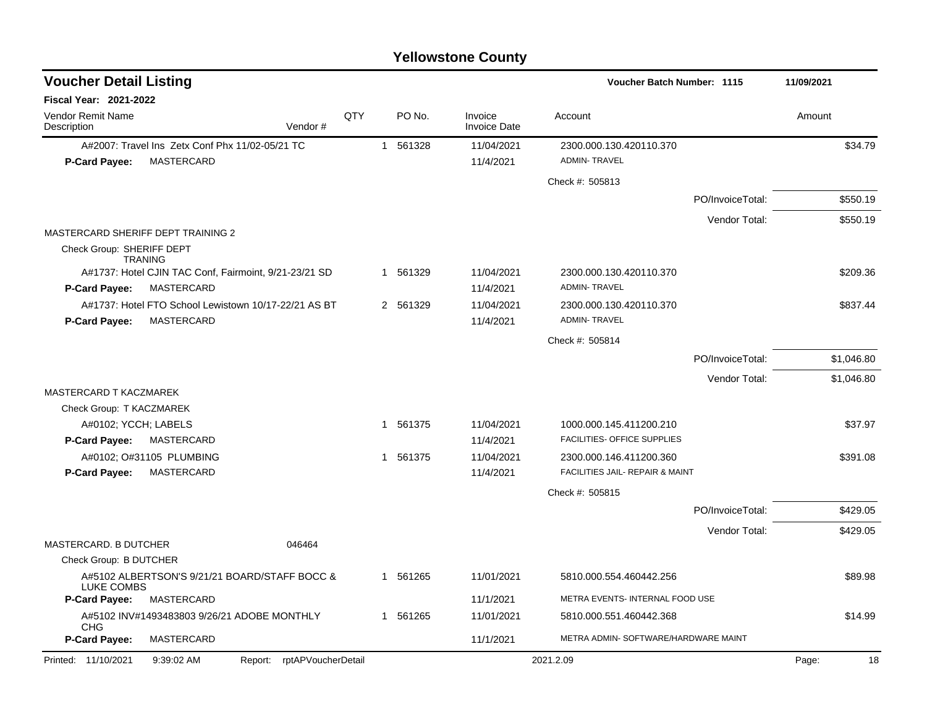| <b>Voucher Detail Listing</b>                                           |     |   |          | <b>Voucher Batch Number: 1115</b> |                                                            | 11/09/2021       |             |
|-------------------------------------------------------------------------|-----|---|----------|-----------------------------------|------------------------------------------------------------|------------------|-------------|
| <b>Fiscal Year: 2021-2022</b>                                           |     |   |          |                                   |                                                            |                  |             |
| Vendor Remit Name<br>Description<br>Vendor#                             | QTY |   | PO No.   | Invoice<br><b>Invoice Date</b>    | Account                                                    |                  | Amount      |
| A#2007: Travel Ins Zetx Conf Phx 11/02-05/21 TC                         |     |   | 1 561328 | 11/04/2021                        | 2300.000.130.420110.370                                    |                  | \$34.79     |
| P-Card Payee:<br>MASTERCARD                                             |     |   |          | 11/4/2021                         | <b>ADMIN-TRAVEL</b>                                        |                  |             |
|                                                                         |     |   |          |                                   | Check #: 505813                                            |                  |             |
|                                                                         |     |   |          |                                   |                                                            | PO/InvoiceTotal: | \$550.19    |
|                                                                         |     |   |          |                                   |                                                            | Vendor Total:    | \$550.19    |
| MASTERCARD SHERIFF DEPT TRAINING 2                                      |     |   |          |                                   |                                                            |                  |             |
| Check Group: SHERIFF DEPT<br><b>TRANING</b>                             |     |   |          |                                   |                                                            |                  |             |
| A#1737: Hotel CJIN TAC Conf, Fairmoint, 9/21-23/21 SD                   |     |   | 1 561329 | 11/04/2021                        | 2300.000.130.420110.370                                    |                  | \$209.36    |
| P-Card Payee:<br>MASTERCARD                                             |     |   |          | 11/4/2021                         | <b>ADMIN-TRAVEL</b>                                        |                  |             |
| A#1737: Hotel FTO School Lewistown 10/17-22/21 AS BT                    |     |   | 2 561329 | 11/04/2021                        | 2300.000.130.420110.370                                    |                  | \$837.44    |
| P-Card Payee:<br>MASTERCARD                                             |     |   |          | 11/4/2021                         | <b>ADMIN-TRAVEL</b>                                        |                  |             |
|                                                                         |     |   |          |                                   | Check #: 505814                                            |                  |             |
|                                                                         |     |   |          |                                   |                                                            | PO/InvoiceTotal: | \$1,046.80  |
|                                                                         |     |   |          |                                   |                                                            | Vendor Total:    | \$1,046.80  |
| MASTERCARD T KACZMAREK                                                  |     |   |          |                                   |                                                            |                  |             |
| Check Group: T KACZMAREK                                                |     |   |          |                                   |                                                            |                  |             |
| A#0102; YCCH; LABELS                                                    |     | 1 | 561375   | 11/04/2021                        | 1000.000.145.411200.210                                    |                  | \$37.97     |
| P-Card Payee:<br>MASTERCARD                                             |     |   |          | 11/4/2021                         | FACILITIES- OFFICE SUPPLIES                                |                  |             |
| A#0102; O#31105 PLUMBING                                                |     |   | 1 561375 | 11/04/2021                        | 2300.000.146.411200.360<br>FACILITIES JAIL- REPAIR & MAINT |                  | \$391.08    |
| <b>P-Card Payee:</b><br>MASTERCARD                                      |     |   |          | 11/4/2021                         |                                                            |                  |             |
|                                                                         |     |   |          |                                   | Check #: 505815                                            |                  |             |
|                                                                         |     |   |          |                                   |                                                            | PO/InvoiceTotal: | \$429.05    |
|                                                                         |     |   |          |                                   |                                                            | Vendor Total:    | \$429.05    |
| MASTERCARD. B DUTCHER<br>046464                                         |     |   |          |                                   |                                                            |                  |             |
| Check Group: B DUTCHER<br>A#5102 ALBERTSON'S 9/21/21 BOARD/STAFF BOCC & |     |   | 1 561265 | 11/01/2021                        | 5810.000.554.460442.256                                    |                  | \$89.98     |
| <b>LUKE COMBS</b>                                                       |     |   |          |                                   |                                                            |                  |             |
| <b>MASTERCARD</b><br><b>P-Card Payee:</b>                               |     |   |          | 11/1/2021                         | METRA EVENTS- INTERNAL FOOD USE                            |                  |             |
| A#5102 INV#1493483803 9/26/21 ADOBE MONTHLY<br><b>CHG</b>               |     |   | 1 561265 | 11/01/2021                        | 5810.000.551.460442.368                                    |                  | \$14.99     |
| P-Card Payee:<br>MASTERCARD                                             |     |   |          | 11/1/2021                         | METRA ADMIN- SOFTWARE/HARDWARE MAINT                       |                  |             |
| Printed: 11/10/2021<br>9:39:02 AM<br>rptAPVoucherDetail<br>Report:      |     |   |          |                                   | 2021.2.09                                                  |                  | Page:<br>18 |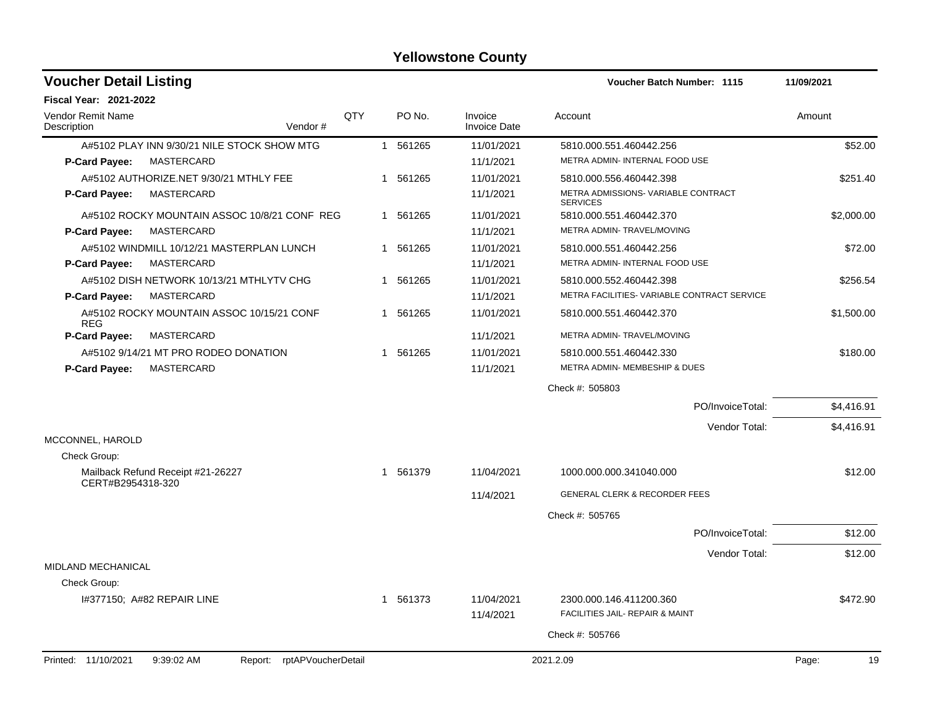| <b>Voucher Detail Listing</b>                                   | <b>Voucher Batch Number: 1115</b> |              | 11/09/2021 |                                |                                                        |                  |             |
|-----------------------------------------------------------------|-----------------------------------|--------------|------------|--------------------------------|--------------------------------------------------------|------------------|-------------|
| <b>Fiscal Year: 2021-2022</b>                                   |                                   |              |            |                                |                                                        |                  |             |
| <b>Vendor Remit Name</b><br>Description<br>Vendor#              | QTY                               |              | PO No.     | Invoice<br><b>Invoice Date</b> | Account                                                |                  | Amount      |
| A#5102 PLAY INN 9/30/21 NILE STOCK SHOW MTG                     |                                   |              | 1 561265   | 11/01/2021                     | 5810.000.551.460442.256                                |                  | \$52.00     |
| MASTERCARD<br><b>P-Card Payee:</b>                              |                                   |              |            | 11/1/2021                      | METRA ADMIN- INTERNAL FOOD USE                         |                  |             |
| A#5102 AUTHORIZE.NET 9/30/21 MTHLY FEE                          |                                   |              | 1 561265   | 11/01/2021                     | 5810.000.556.460442.398                                |                  | \$251.40    |
| MASTERCARD<br><b>P-Card Payee:</b>                              |                                   |              |            | 11/1/2021                      | METRA ADMISSIONS- VARIABLE CONTRACT<br><b>SERVICES</b> |                  |             |
| A#5102 ROCKY MOUNTAIN ASSOC 10/8/21 CONF REG                    |                                   |              | 1 561265   | 11/01/2021                     | 5810.000.551.460442.370                                |                  | \$2,000.00  |
| P-Card Payee:<br><b>MASTERCARD</b>                              |                                   |              |            | 11/1/2021                      | METRA ADMIN- TRAVEL/MOVING                             |                  |             |
| A#5102 WINDMILL 10/12/21 MASTERPLAN LUNCH                       |                                   | 1            | 561265     | 11/01/2021                     | 5810.000.551.460442.256                                |                  | \$72.00     |
| <b>P-Card Payee:</b><br>MASTERCARD                              |                                   |              |            | 11/1/2021                      | METRA ADMIN- INTERNAL FOOD USE                         |                  |             |
| A#5102 DISH NETWORK 10/13/21 MTHLYTV CHG                        |                                   | 1            | 561265     | 11/01/2021                     | 5810.000.552.460442.398                                |                  | \$256.54    |
| <b>P-Card Payee:</b><br>MASTERCARD                              |                                   |              |            | 11/1/2021                      | METRA FACILITIES- VARIABLE CONTRACT SERVICE            |                  |             |
| A#5102 ROCKY MOUNTAIN ASSOC 10/15/21 CONF<br><b>REG</b>         |                                   |              | 1 561265   | 11/01/2021                     | 5810.000.551.460442.370                                |                  | \$1,500.00  |
| <b>P-Card Payee:</b><br><b>MASTERCARD</b>                       |                                   |              |            | 11/1/2021                      | METRA ADMIN- TRAVEL/MOVING                             |                  |             |
| A#5102 9/14/21 MT PRO RODEO DONATION                            |                                   |              | 1 561265   | 11/01/2021                     | 5810.000.551.460442.330                                |                  | \$180.00    |
| P-Card Payee:<br>MASTERCARD                                     |                                   |              |            | 11/1/2021                      | METRA ADMIN- MEMBESHIP & DUES                          |                  |             |
|                                                                 |                                   |              |            |                                | Check #: 505803                                        |                  |             |
|                                                                 |                                   |              |            |                                |                                                        | PO/InvoiceTotal: | \$4,416.91  |
|                                                                 |                                   |              |            |                                |                                                        | Vendor Total:    | \$4,416.91  |
| MCCONNEL, HAROLD                                                |                                   |              |            |                                |                                                        |                  |             |
| Check Group:                                                    |                                   |              |            |                                |                                                        |                  |             |
| Mailback Refund Receipt #21-26227<br>CERT#B2954318-320          |                                   |              | 1 561379   | 11/04/2021                     | 1000.000.000.341040.000                                |                  | \$12.00     |
|                                                                 |                                   |              |            | 11/4/2021                      | GENERAL CLERK & RECORDER FEES                          |                  |             |
|                                                                 |                                   |              |            |                                | Check #: 505765                                        |                  |             |
|                                                                 |                                   |              |            |                                |                                                        | PO/InvoiceTotal: | \$12.00     |
|                                                                 |                                   |              |            |                                |                                                        | Vendor Total:    | \$12.00     |
| <b>MIDLAND MECHANICAL</b>                                       |                                   |              |            |                                |                                                        |                  |             |
| Check Group:                                                    |                                   |              |            |                                |                                                        |                  |             |
| 1#377150; A#82 REPAIR LINE                                      |                                   | $\mathbf{1}$ | 561373     | 11/04/2021                     | 2300.000.146.411200.360                                |                  | \$472.90    |
|                                                                 |                                   |              |            | 11/4/2021                      | FACILITIES JAIL- REPAIR & MAINT                        |                  |             |
|                                                                 |                                   |              |            |                                | Check #: 505766                                        |                  |             |
| Printed: 11/10/2021<br>9:39:02 AM<br>Report: rptAPVoucherDetail |                                   |              |            |                                | 2021.2.09                                              |                  | Page:<br>19 |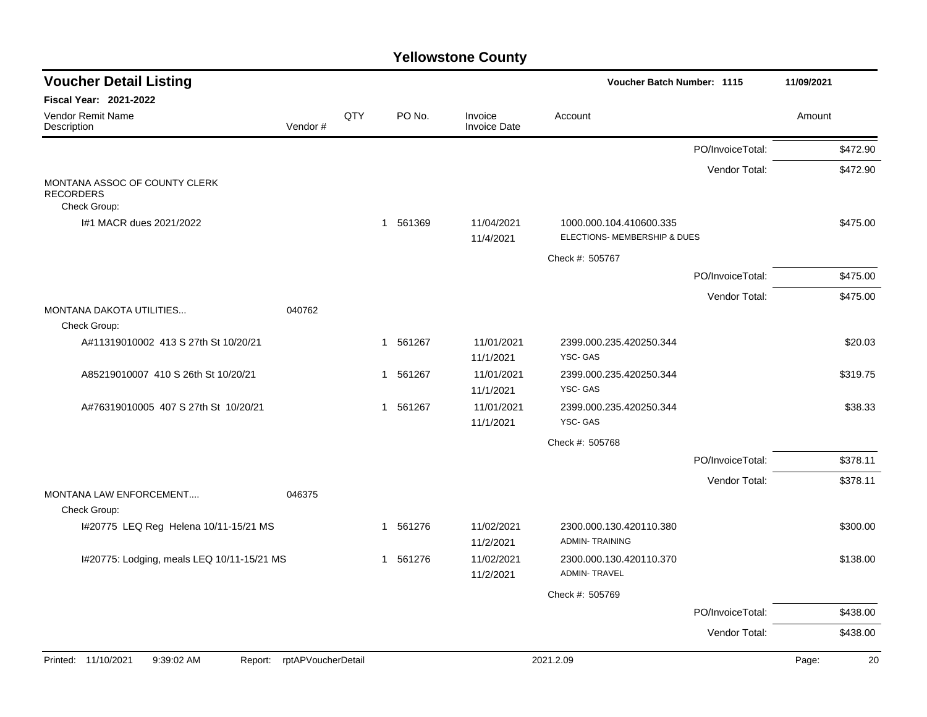| <b>Voucher Detail Listing</b>                                     |                    |     | <b>Voucher Batch Number: 1115</b> | 11/09/2021                     |                                                         |                  |             |
|-------------------------------------------------------------------|--------------------|-----|-----------------------------------|--------------------------------|---------------------------------------------------------|------------------|-------------|
| <b>Fiscal Year: 2021-2022</b>                                     |                    |     |                                   |                                |                                                         |                  |             |
| Vendor Remit Name<br>Description                                  | Vendor#            | QTY | PO No.                            | Invoice<br><b>Invoice Date</b> | Account                                                 |                  | Amount      |
|                                                                   |                    |     |                                   |                                |                                                         | PO/InvoiceTotal: | \$472.90    |
|                                                                   |                    |     |                                   |                                |                                                         | Vendor Total:    | \$472.90    |
| MONTANA ASSOC OF COUNTY CLERK<br><b>RECORDERS</b><br>Check Group: |                    |     |                                   |                                |                                                         |                  |             |
| I#1 MACR dues 2021/2022                                           |                    |     | 1 561369                          | 11/04/2021<br>11/4/2021        | 1000.000.104.410600.335<br>ELECTIONS- MEMBERSHIP & DUES |                  | \$475.00    |
|                                                                   |                    |     |                                   |                                | Check #: 505767                                         |                  |             |
|                                                                   |                    |     |                                   |                                |                                                         | PO/InvoiceTotal: | \$475.00    |
|                                                                   |                    |     |                                   |                                |                                                         | Vendor Total:    | \$475.00    |
| MONTANA DAKOTA UTILITIES<br>Check Group:                          | 040762             |     |                                   |                                |                                                         |                  |             |
| A#11319010002 413 S 27th St 10/20/21                              |                    |     | 1 561267                          | 11/01/2021<br>11/1/2021        | 2399.000.235.420250.344<br>YSC-GAS                      |                  | \$20.03     |
| A85219010007 410 S 26th St 10/20/21                               |                    |     | 1 561267                          | 11/01/2021<br>11/1/2021        | 2399.000.235.420250.344<br>YSC-GAS                      |                  | \$319.75    |
| A#76319010005 407 S 27th St 10/20/21                              |                    |     | 1 561267                          | 11/01/2021<br>11/1/2021        | 2399.000.235.420250.344<br>YSC-GAS                      |                  | \$38.33     |
|                                                                   |                    |     |                                   |                                | Check #: 505768                                         |                  |             |
|                                                                   |                    |     |                                   |                                |                                                         | PO/InvoiceTotal: | \$378.11    |
|                                                                   |                    |     |                                   |                                |                                                         | Vendor Total:    | \$378.11    |
| MONTANA LAW ENFORCEMENT<br>Check Group:                           | 046375             |     |                                   |                                |                                                         |                  |             |
| I#20775 LEQ Reg Helena 10/11-15/21 MS                             |                    |     | 1 561276                          | 11/02/2021<br>11/2/2021        | 2300.000.130.420110.380<br><b>ADMIN-TRAINING</b>        |                  | \$300.00    |
| I#20775: Lodging, meals LEQ 10/11-15/21 MS                        |                    |     | 1 561276                          | 11/02/2021<br>11/2/2021        | 2300.000.130.420110.370<br><b>ADMIN-TRAVEL</b>          |                  | \$138.00    |
|                                                                   |                    |     |                                   |                                | Check #: 505769                                         |                  |             |
|                                                                   |                    |     |                                   |                                |                                                         | PO/InvoiceTotal: | \$438.00    |
|                                                                   |                    |     |                                   |                                |                                                         | Vendor Total:    | \$438.00    |
|                                                                   |                    |     |                                   |                                |                                                         |                  |             |
| Printed: 11/10/2021<br>9:39:02 AM<br>Report:                      | rptAPVoucherDetail |     |                                   |                                | 2021.2.09                                               |                  | Page:<br>20 |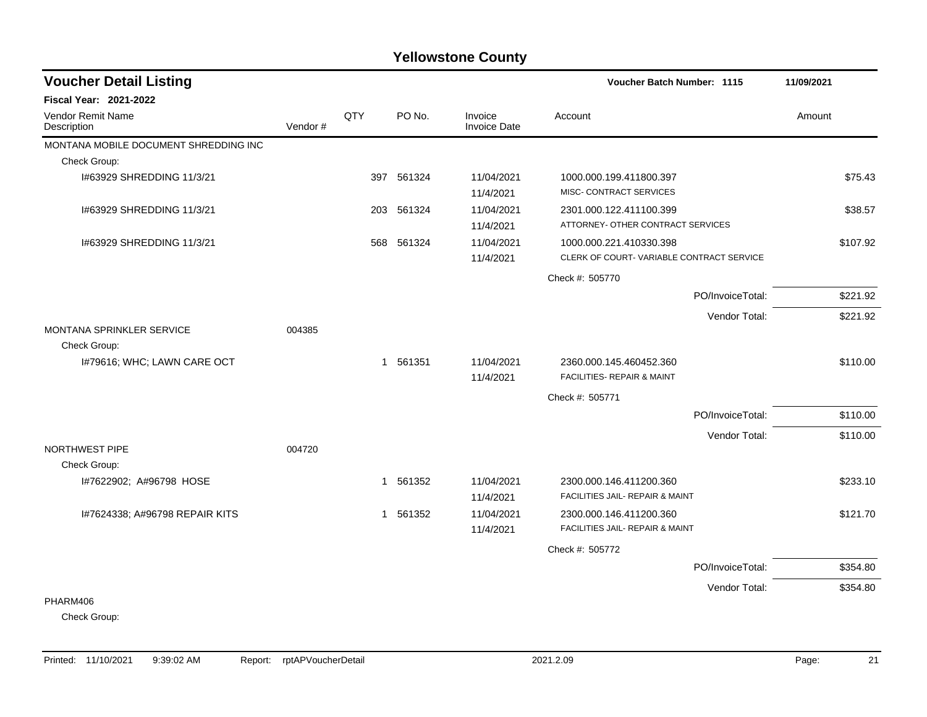| <b>Voucher Detail Listing</b>         |         |     |            |                                | Voucher Batch Number: 1115               |                  |          |
|---------------------------------------|---------|-----|------------|--------------------------------|------------------------------------------|------------------|----------|
| <b>Fiscal Year: 2021-2022</b>         |         |     |            |                                |                                          |                  |          |
| Vendor Remit Name<br>Description      | Vendor# | QTY | PO No.     | Invoice<br><b>Invoice Date</b> | Account                                  |                  | Amount   |
| MONTANA MOBILE DOCUMENT SHREDDING INC |         |     |            |                                |                                          |                  |          |
| Check Group:                          |         |     |            |                                |                                          |                  |          |
| 1#63929 SHREDDING 11/3/21             |         |     | 397 561324 | 11/04/2021                     | 1000.000.199.411800.397                  |                  | \$75.43  |
|                                       |         |     |            | 11/4/2021                      | MISC- CONTRACT SERVICES                  |                  |          |
| 1#63929 SHREDDING 11/3/21             |         | 203 | 561324     | 11/04/2021                     | 2301.000.122.411100.399                  |                  | \$38.57  |
|                                       |         |     |            | 11/4/2021                      | ATTORNEY- OTHER CONTRACT SERVICES        |                  |          |
| 1#63929 SHREDDING 11/3/21             |         | 568 | 561324     | 11/04/2021                     | 1000.000.221.410330.398                  |                  | \$107.92 |
|                                       |         |     |            | 11/4/2021                      | CLERK OF COURT-VARIABLE CONTRACT SERVICE |                  |          |
|                                       |         |     |            |                                | Check #: 505770                          |                  |          |
|                                       |         |     |            |                                |                                          | PO/InvoiceTotal: | \$221.92 |
|                                       |         |     |            |                                |                                          | Vendor Total:    | \$221.92 |
| <b>MONTANA SPRINKLER SERVICE</b>      | 004385  |     |            |                                |                                          |                  |          |
| Check Group:                          |         |     |            |                                |                                          |                  |          |
| I#79616; WHC; LAWN CARE OCT           |         |     | 1 561351   | 11/04/2021                     | 2360.000.145.460452.360                  |                  | \$110.00 |
|                                       |         |     |            | 11/4/2021                      | <b>FACILITIES- REPAIR &amp; MAINT</b>    |                  |          |
|                                       |         |     |            |                                | Check #: 505771                          |                  |          |
|                                       |         |     |            |                                |                                          | PO/InvoiceTotal: | \$110.00 |
|                                       |         |     |            |                                |                                          | Vendor Total:    | \$110.00 |
| NORTHWEST PIPE                        | 004720  |     |            |                                |                                          |                  |          |
| Check Group:                          |         |     |            |                                |                                          |                  |          |
| I#7622902; A#96798 HOSE               |         | 1   | 561352     | 11/04/2021                     | 2300.000.146.411200.360                  |                  | \$233.10 |
|                                       |         |     |            | 11/4/2021                      | FACILITIES JAIL- REPAIR & MAINT          |                  |          |
| I#7624338; A#96798 REPAIR KITS        |         |     | 1 561352   | 11/04/2021                     | 2300.000.146.411200.360                  |                  | \$121.70 |
|                                       |         |     |            | 11/4/2021                      | FACILITIES JAIL- REPAIR & MAINT          |                  |          |
|                                       |         |     |            |                                | Check #: 505772                          |                  |          |
|                                       |         |     |            |                                |                                          | PO/InvoiceTotal: | \$354.80 |
|                                       |         |     |            |                                |                                          | Vendor Total:    | \$354.80 |
| PHARM406                              |         |     |            |                                |                                          |                  |          |

Check Group: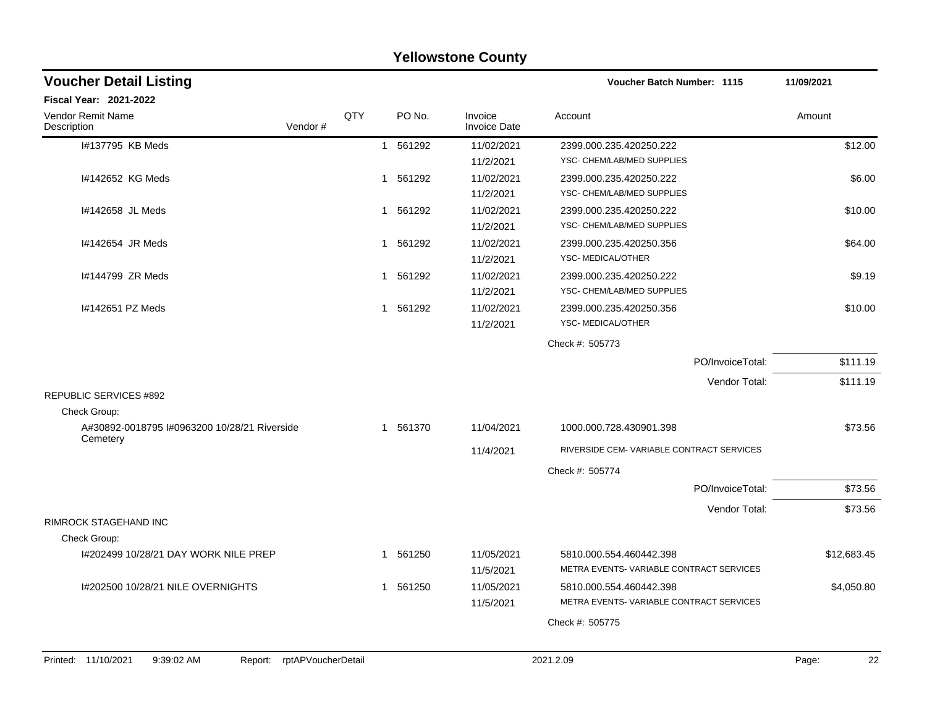| Fiscal Year: 2021-2022<br>QTY<br>PO No.<br>Vendor Remit Name<br>Description<br>Vendor#<br>I#137795 KB Meds<br>561292<br>$\mathbf{1}$<br>I#142652 KG Meds<br>561292<br>1<br>I#142658 JL Meds<br>561292<br>1<br>I#142654 JR Meds<br>561292<br>1<br>I#144799 ZR Meds | Invoice<br>Account<br>Amount<br><b>Invoice Date</b><br>\$12.00<br>11/02/2021<br>2399.000.235.420250.222<br>YSC- CHEM/LAB/MED SUPPLIES<br>11/2/2021<br>11/02/2021<br>2399.000.235.420250.222<br>\$6.00<br>YSC- CHEM/LAB/MED SUPPLIES<br>11/2/2021<br>11/02/2021<br>\$10.00<br>2399.000.235.420250.222<br>11/2/2021<br>YSC- CHEM/LAB/MED SUPPLIES<br>11/02/2021<br>2399.000.235.420250.356<br>\$64.00<br>YSC- MEDICAL/OTHER<br>11/2/2021<br>11/02/2021<br>2399.000.235.420250.222<br>\$9.19<br>YSC- CHEM/LAB/MED SUPPLIES<br>11/2/2021 |
|-------------------------------------------------------------------------------------------------------------------------------------------------------------------------------------------------------------------------------------------------------------------|--------------------------------------------------------------------------------------------------------------------------------------------------------------------------------------------------------------------------------------------------------------------------------------------------------------------------------------------------------------------------------------------------------------------------------------------------------------------------------------------------------------------------------------|
|                                                                                                                                                                                                                                                                   |                                                                                                                                                                                                                                                                                                                                                                                                                                                                                                                                      |
|                                                                                                                                                                                                                                                                   |                                                                                                                                                                                                                                                                                                                                                                                                                                                                                                                                      |
|                                                                                                                                                                                                                                                                   |                                                                                                                                                                                                                                                                                                                                                                                                                                                                                                                                      |
|                                                                                                                                                                                                                                                                   |                                                                                                                                                                                                                                                                                                                                                                                                                                                                                                                                      |
|                                                                                                                                                                                                                                                                   |                                                                                                                                                                                                                                                                                                                                                                                                                                                                                                                                      |
|                                                                                                                                                                                                                                                                   |                                                                                                                                                                                                                                                                                                                                                                                                                                                                                                                                      |
| 561292<br>1                                                                                                                                                                                                                                                       |                                                                                                                                                                                                                                                                                                                                                                                                                                                                                                                                      |
| I#142651 PZ Meds<br>561292<br>1                                                                                                                                                                                                                                   | 11/02/2021<br>2399.000.235.420250.356<br>\$10.00<br>YSC-MEDICAL/OTHER<br>11/2/2021                                                                                                                                                                                                                                                                                                                                                                                                                                                   |
|                                                                                                                                                                                                                                                                   | Check #: 505773                                                                                                                                                                                                                                                                                                                                                                                                                                                                                                                      |
|                                                                                                                                                                                                                                                                   | \$111.19<br>PO/InvoiceTotal:                                                                                                                                                                                                                                                                                                                                                                                                                                                                                                         |
|                                                                                                                                                                                                                                                                   | \$111.19<br>Vendor Total:                                                                                                                                                                                                                                                                                                                                                                                                                                                                                                            |
| <b>REPUBLIC SERVICES #892</b>                                                                                                                                                                                                                                     |                                                                                                                                                                                                                                                                                                                                                                                                                                                                                                                                      |
| Check Group:<br>A#30892-0018795 I#0963200 10/28/21 Riverside<br>1 561370                                                                                                                                                                                          | \$73.56<br>11/04/2021<br>1000.000.728.430901.398                                                                                                                                                                                                                                                                                                                                                                                                                                                                                     |
| Cemetery                                                                                                                                                                                                                                                          | RIVERSIDE CEM-VARIABLE CONTRACT SERVICES<br>11/4/2021                                                                                                                                                                                                                                                                                                                                                                                                                                                                                |
|                                                                                                                                                                                                                                                                   | Check #: 505774                                                                                                                                                                                                                                                                                                                                                                                                                                                                                                                      |
|                                                                                                                                                                                                                                                                   | \$73.56<br>PO/InvoiceTotal:                                                                                                                                                                                                                                                                                                                                                                                                                                                                                                          |
|                                                                                                                                                                                                                                                                   | \$73.56<br>Vendor Total:                                                                                                                                                                                                                                                                                                                                                                                                                                                                                                             |
| RIMROCK STAGEHAND INC<br>Check Group:                                                                                                                                                                                                                             |                                                                                                                                                                                                                                                                                                                                                                                                                                                                                                                                      |
| 1#202499 10/28/21 DAY WORK NILE PREP<br>561250<br>1                                                                                                                                                                                                               | 11/05/2021<br>5810.000.554.460442.398<br>\$12,683.45                                                                                                                                                                                                                                                                                                                                                                                                                                                                                 |
|                                                                                                                                                                                                                                                                   | METRA EVENTS-VARIABLE CONTRACT SERVICES<br>11/5/2021                                                                                                                                                                                                                                                                                                                                                                                                                                                                                 |
| I#202500 10/28/21 NILE OVERNIGHTS<br>561250<br>1                                                                                                                                                                                                                  | 11/05/2021<br>5810.000.554.460442.398<br>\$4,050.80<br>METRA EVENTS-VARIABLE CONTRACT SERVICES<br>11/5/2021                                                                                                                                                                                                                                                                                                                                                                                                                          |
|                                                                                                                                                                                                                                                                   | Check #: 505775                                                                                                                                                                                                                                                                                                                                                                                                                                                                                                                      |
|                                                                                                                                                                                                                                                                   |                                                                                                                                                                                                                                                                                                                                                                                                                                                                                                                                      |
| 9:39:02 AM<br>Report: rptAPVoucherDetail<br>Printed: 11/10/2021                                                                                                                                                                                                   |                                                                                                                                                                                                                                                                                                                                                                                                                                                                                                                                      |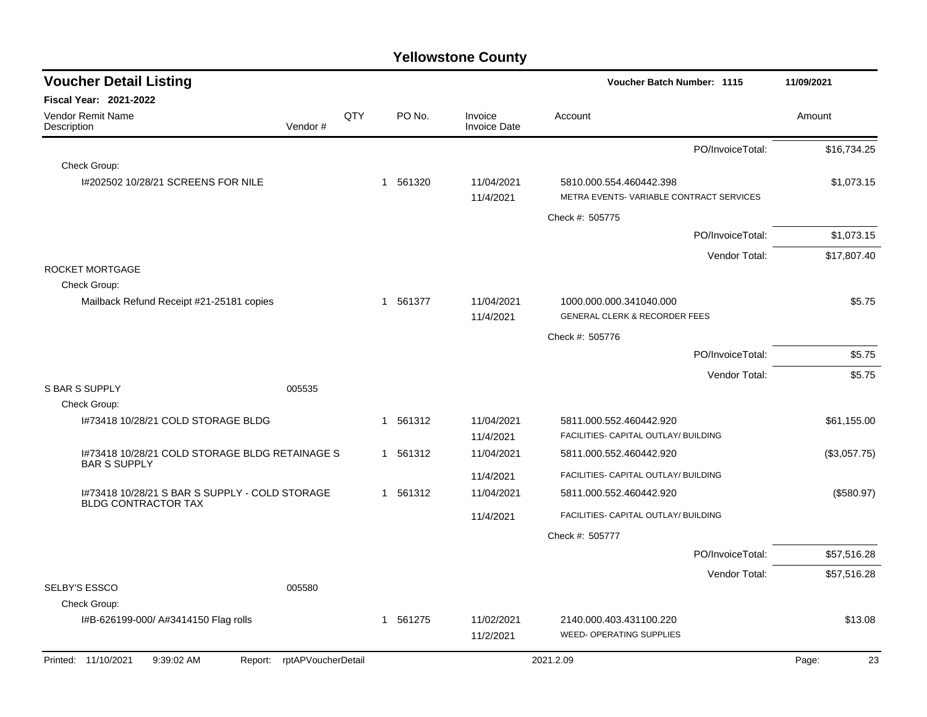| <b>Voucher Detail Listing</b>                                         |                |          |                                | Voucher Batch Number: 1115                                          | 11/09/2021   |
|-----------------------------------------------------------------------|----------------|----------|--------------------------------|---------------------------------------------------------------------|--------------|
| Fiscal Year: 2021-2022                                                |                |          |                                |                                                                     |              |
| <b>Vendor Remit Name</b><br>Description                               | QTY<br>Vendor# | PO No.   | Invoice<br><b>Invoice Date</b> | Account                                                             | Amount       |
|                                                                       |                |          |                                | PO/InvoiceTotal:                                                    | \$16,734.25  |
| Check Group:                                                          |                |          |                                |                                                                     |              |
| 1#202502 10/28/21 SCREENS FOR NILE                                    |                | 1 561320 | 11/04/2021<br>11/4/2021        | 5810.000.554.460442.398<br>METRA EVENTS-VARIABLE CONTRACT SERVICES  | \$1,073.15   |
|                                                                       |                |          |                                | Check #: 505775                                                     |              |
|                                                                       |                |          |                                | PO/InvoiceTotal:                                                    | \$1,073.15   |
|                                                                       |                |          |                                | Vendor Total:                                                       | \$17,807.40  |
| ROCKET MORTGAGE                                                       |                |          |                                |                                                                     |              |
| Check Group:                                                          |                |          |                                |                                                                     |              |
| Mailback Refund Receipt #21-25181 copies                              |                | 1 561377 | 11/04/2021<br>11/4/2021        | 1000.000.000.341040.000<br><b>GENERAL CLERK &amp; RECORDER FEES</b> | \$5.75       |
|                                                                       |                |          |                                | Check #: 505776                                                     |              |
|                                                                       |                |          |                                | PO/InvoiceTotal:                                                    | \$5.75       |
|                                                                       |                |          |                                | Vendor Total:                                                       | \$5.75       |
| <b>S BAR S SUPPLY</b><br>005535                                       |                |          |                                |                                                                     |              |
| Check Group:                                                          |                |          |                                |                                                                     |              |
| 1#73418 10/28/21 COLD STORAGE BLDG                                    |                | 1 561312 | 11/04/2021                     | 5811.000.552.460442.920                                             | \$61,155.00  |
|                                                                       |                |          | 11/4/2021                      | FACILITIES- CAPITAL OUTLAY/ BUILDING                                |              |
| I#73418 10/28/21 COLD STORAGE BLDG RETAINAGE S<br><b>BAR S SUPPLY</b> |                | 1 561312 | 11/04/2021                     | 5811.000.552.460442.920                                             | (\$3,057.75) |
|                                                                       |                |          | 11/4/2021                      | FACILITIES- CAPITAL OUTLAY/ BUILDING                                |              |
| 1#73418 10/28/21 S BAR S SUPPLY - COLD STORAGE                        |                | 1 561312 | 11/04/2021                     | 5811.000.552.460442.920                                             | (\$580.97)   |
| <b>BLDG CONTRACTOR TAX</b>                                            |                |          | 11/4/2021                      | FACILITIES- CAPITAL OUTLAY/ BUILDING                                |              |
|                                                                       |                |          |                                | Check #: 505777                                                     |              |
|                                                                       |                |          |                                | PO/InvoiceTotal:                                                    | \$57,516.28  |
|                                                                       |                |          |                                | Vendor Total:                                                       | \$57,516.28  |
| <b>SELBY'S ESSCO</b><br>005580                                        |                |          |                                |                                                                     |              |
| Check Group:                                                          |                |          |                                |                                                                     |              |
| I#B-626199-000/ A#3414150 Flag rolls                                  |                | 1 561275 | 11/02/2021                     | 2140.000.403.431100.220                                             | \$13.08      |
|                                                                       |                |          | 11/2/2021                      | <b>WEED- OPERATING SUPPLIES</b>                                     |              |
| Printed: 11/10/2021<br>9:39:02 AM<br>Report: rptAPVoucherDetail       |                |          |                                | 2021.2.09                                                           | Page:<br>23  |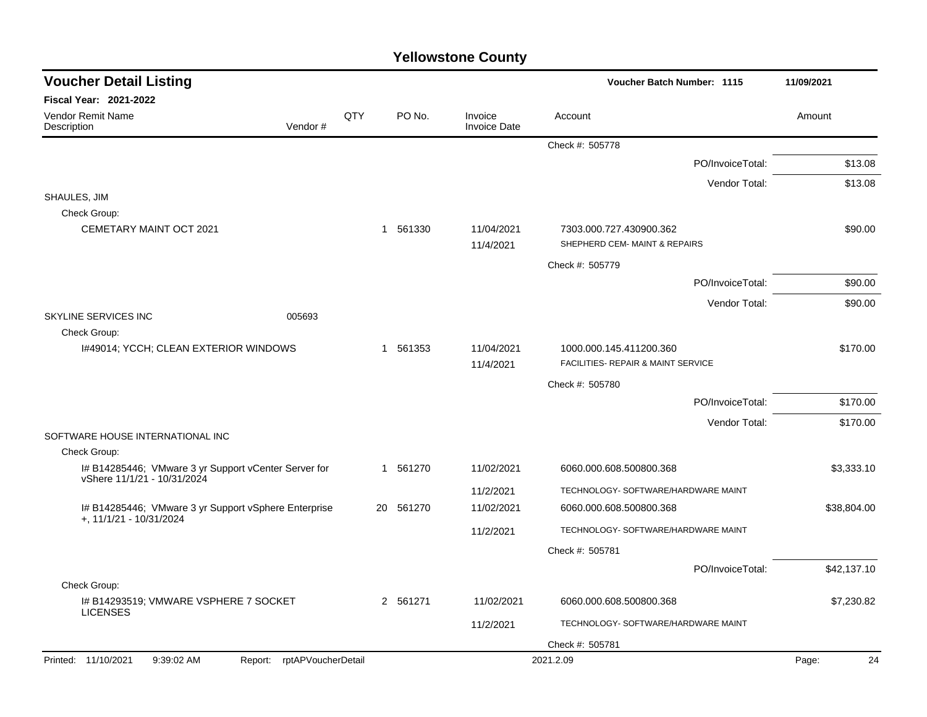| <b>Voucher Detail Listing</b>                                                       |                            |     |           |                                | <b>Voucher Batch Number: 1115</b>                             |                  | 11/09/2021  |
|-------------------------------------------------------------------------------------|----------------------------|-----|-----------|--------------------------------|---------------------------------------------------------------|------------------|-------------|
| <b>Fiscal Year: 2021-2022</b>                                                       |                            |     |           |                                |                                                               |                  |             |
| Vendor Remit Name<br>Description                                                    | Vendor#                    | QTY | PO No.    | Invoice<br><b>Invoice Date</b> | Account                                                       |                  | Amount      |
|                                                                                     |                            |     |           |                                | Check #: 505778                                               |                  |             |
|                                                                                     |                            |     |           |                                |                                                               | PO/InvoiceTotal: | \$13.08     |
|                                                                                     |                            |     |           |                                |                                                               | Vendor Total:    | \$13.08     |
| SHAULES, JIM<br>Check Group:                                                        |                            |     |           |                                |                                                               |                  |             |
| <b>CEMETARY MAINT OCT 2021</b>                                                      |                            |     | 1 561330  | 11/04/2021<br>11/4/2021        | 7303.000.727.430900.362<br>SHEPHERD CEM- MAINT & REPAIRS      |                  | \$90.00     |
|                                                                                     |                            |     |           |                                | Check #: 505779                                               |                  |             |
|                                                                                     |                            |     |           |                                |                                                               | PO/InvoiceTotal: | \$90.00     |
|                                                                                     |                            |     |           |                                |                                                               | Vendor Total:    | \$90.00     |
| <b>SKYLINE SERVICES INC</b>                                                         | 005693                     |     |           |                                |                                                               |                  |             |
| Check Group:                                                                        |                            |     |           |                                |                                                               |                  |             |
| 1#49014; YCCH; CLEAN EXTERIOR WINDOWS                                               |                            |     | 1 561353  | 11/04/2021<br>11/4/2021        | 1000.000.145.411200.360<br>FACILITIES- REPAIR & MAINT SERVICE |                  | \$170.00    |
|                                                                                     |                            |     |           |                                | Check #: 505780                                               |                  |             |
|                                                                                     |                            |     |           |                                |                                                               | PO/InvoiceTotal: | \$170.00    |
|                                                                                     |                            |     |           |                                |                                                               | Vendor Total:    | \$170.00    |
| SOFTWARE HOUSE INTERNATIONAL INC                                                    |                            |     |           |                                |                                                               |                  |             |
| Check Group:                                                                        |                            |     |           |                                |                                                               |                  |             |
| I# B14285446; VMware 3 yr Support vCenter Server for<br>vShere 11/1/21 - 10/31/2024 |                            |     | 1 561270  | 11/02/2021                     | 6060.000.608.500800.368                                       |                  | \$3,333.10  |
|                                                                                     |                            |     |           | 11/2/2021                      | TECHNOLOGY- SOFTWARE/HARDWARE MAINT                           |                  |             |
| I# B14285446; VMware 3 yr Support vSphere Enterprise                                |                            |     | 20 561270 | 11/02/2021                     | 6060.000.608.500800.368                                       |                  | \$38,804.00 |
| +, 11/1/21 - 10/31/2024                                                             |                            |     |           | 11/2/2021                      | TECHNOLOGY- SOFTWARE/HARDWARE MAINT                           |                  |             |
|                                                                                     |                            |     |           |                                | Check #: 505781                                               |                  |             |
|                                                                                     |                            |     |           |                                |                                                               | PO/InvoiceTotal: | \$42,137.10 |
| Check Group:                                                                        |                            |     |           |                                |                                                               |                  |             |
| I# B14293519; VMWARE VSPHERE 7 SOCKET<br><b>LICENSES</b>                            |                            |     | 2 561271  | 11/02/2021                     | 6060.000.608.500800.368                                       |                  | \$7,230.82  |
|                                                                                     |                            |     |           | 11/2/2021                      | TECHNOLOGY- SOFTWARE/HARDWARE MAINT                           |                  |             |
|                                                                                     |                            |     |           |                                | Check #: 505781                                               |                  |             |
| Printed: 11/10/2021<br>9:39:02 AM                                                   | Report: rptAPVoucherDetail |     |           |                                | 2021.2.09                                                     |                  | 24<br>Page: |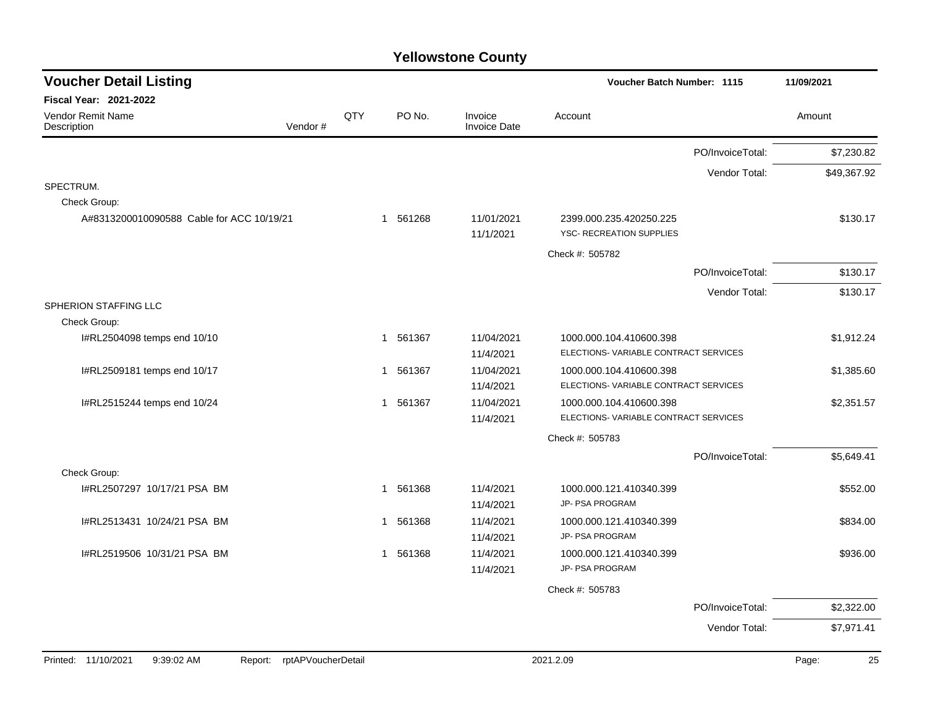| <b>Voucher Detail Listing</b>               |              |          |                                | <b>Voucher Batch Number: 1115</b>                               |                  | 11/09/2021  |
|---------------------------------------------|--------------|----------|--------------------------------|-----------------------------------------------------------------|------------------|-------------|
| <b>Fiscal Year: 2021-2022</b>               |              |          |                                |                                                                 |                  |             |
| Vendor Remit Name<br>Vendor#<br>Description | QTY          | PO No.   | Invoice<br><b>Invoice Date</b> | Account                                                         |                  | Amount      |
|                                             |              |          |                                |                                                                 | PO/InvoiceTotal: | \$7,230.82  |
|                                             |              |          |                                |                                                                 | Vendor Total:    | \$49,367.92 |
| SPECTRUM.                                   |              |          |                                |                                                                 |                  |             |
| Check Group:                                |              |          |                                |                                                                 |                  |             |
| A#8313200010090588 Cable for ACC 10/19/21   |              | 1 561268 | 11/01/2021<br>11/1/2021        | 2399.000.235.420250.225<br>YSC- RECREATION SUPPLIES             |                  | \$130.17    |
|                                             |              |          |                                | Check #: 505782                                                 |                  |             |
|                                             |              |          |                                |                                                                 | PO/InvoiceTotal: | \$130.17    |
|                                             |              |          |                                |                                                                 | Vendor Total:    | \$130.17    |
| SPHERION STAFFING LLC                       |              |          |                                |                                                                 |                  |             |
| Check Group:                                |              |          |                                |                                                                 |                  |             |
| I#RL2504098 temps end 10/10                 |              | 1 561367 | 11/04/2021<br>11/4/2021        | 1000.000.104.410600.398<br>ELECTIONS-VARIABLE CONTRACT SERVICES |                  | \$1,912.24  |
| I#RL2509181 temps end 10/17                 |              | 1 561367 | 11/04/2021<br>11/4/2021        | 1000.000.104.410600.398<br>ELECTIONS-VARIABLE CONTRACT SERVICES |                  | \$1,385.60  |
| I#RL2515244 temps end 10/24                 |              | 1 561367 | 11/04/2021<br>11/4/2021        | 1000.000.104.410600.398<br>ELECTIONS-VARIABLE CONTRACT SERVICES |                  | \$2,351.57  |
|                                             |              |          |                                | Check #: 505783                                                 |                  |             |
|                                             |              |          |                                |                                                                 | PO/InvoiceTotal: | \$5,649.41  |
| Check Group:                                |              |          |                                |                                                                 |                  |             |
| I#RL2507297 10/17/21 PSA BM                 |              | 1 561368 | 11/4/2021<br>11/4/2021         | 1000.000.121.410340.399<br><b>JP- PSA PROGRAM</b>               |                  | \$552.00    |
| I#RL2513431 10/24/21 PSA BM                 | $\mathbf{1}$ | 561368   | 11/4/2021                      | 1000.000.121.410340.399                                         |                  | \$834.00    |
|                                             |              |          | 11/4/2021                      | JP- PSA PROGRAM                                                 |                  |             |
| I#RL2519506 10/31/21 PSA BM                 |              | 1 561368 | 11/4/2021                      | 1000.000.121.410340.399                                         |                  | \$936.00    |
|                                             |              |          | 11/4/2021                      | JP- PSA PROGRAM                                                 |                  |             |
|                                             |              |          |                                | Check #: 505783                                                 |                  |             |
|                                             |              |          |                                |                                                                 | PO/InvoiceTotal: | \$2,322.00  |
|                                             |              |          |                                |                                                                 | Vendor Total:    | \$7,971.41  |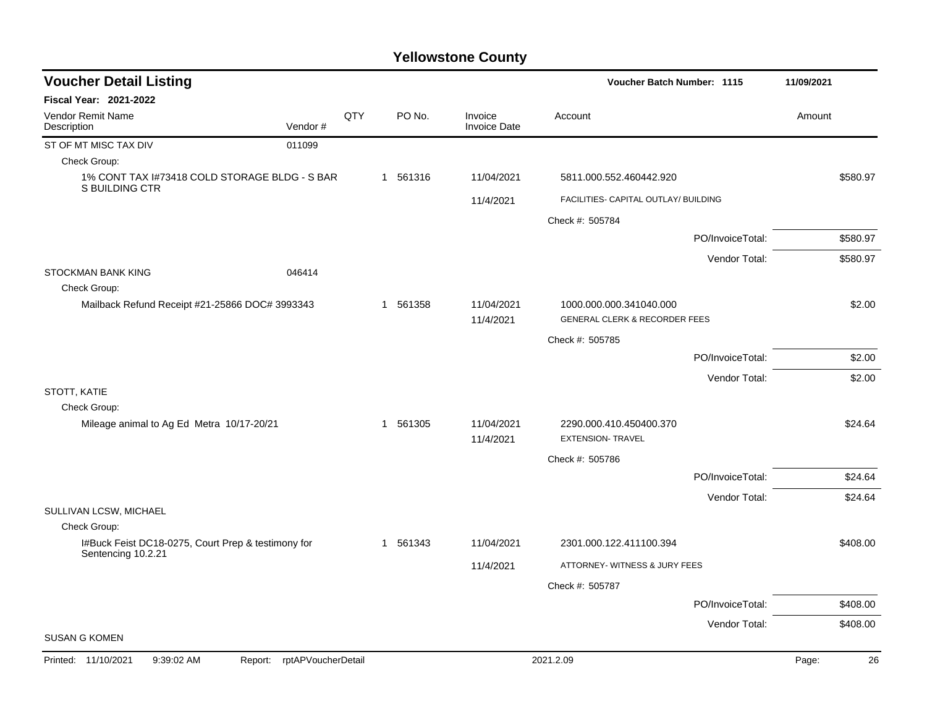| <b>Voucher Detail Listing</b>                                            |     |          |                                | Voucher Batch Number: 1115                                          | 11/09/2021       |             |
|--------------------------------------------------------------------------|-----|----------|--------------------------------|---------------------------------------------------------------------|------------------|-------------|
| Fiscal Year: 2021-2022                                                   |     |          |                                |                                                                     |                  |             |
| Vendor Remit Name<br>Vendor#<br>Description                              | QTY | PO No.   | Invoice<br><b>Invoice Date</b> | Account                                                             |                  | Amount      |
| ST OF MT MISC TAX DIV<br>011099                                          |     |          |                                |                                                                     |                  |             |
| Check Group:                                                             |     |          |                                |                                                                     |                  |             |
| 1% CONT TAX I#73418 COLD STORAGE BLDG - S BAR<br>S BUILDING CTR          |     | 1 561316 | 11/04/2021                     | 5811.000.552.460442.920                                             |                  | \$580.97    |
|                                                                          |     |          | 11/4/2021                      | FACILITIES- CAPITAL OUTLAY/ BUILDING                                |                  |             |
|                                                                          |     |          |                                | Check #: 505784                                                     |                  |             |
|                                                                          |     |          |                                |                                                                     | PO/InvoiceTotal: | \$580.97    |
|                                                                          |     |          |                                |                                                                     | Vendor Total:    | \$580.97    |
| <b>STOCKMAN BANK KING</b><br>046414                                      |     |          |                                |                                                                     |                  |             |
| Check Group:                                                             |     |          |                                |                                                                     |                  |             |
| Mailback Refund Receipt #21-25866 DOC# 3993343                           |     | 1 561358 | 11/04/2021<br>11/4/2021        | 1000.000.000.341040.000<br><b>GENERAL CLERK &amp; RECORDER FEES</b> |                  | \$2.00      |
|                                                                          |     |          |                                | Check #: 505785                                                     |                  |             |
|                                                                          |     |          |                                |                                                                     | PO/InvoiceTotal: | \$2.00      |
|                                                                          |     |          |                                |                                                                     | Vendor Total:    | \$2.00      |
| STOTT, KATIE                                                             |     |          |                                |                                                                     |                  |             |
| Check Group:                                                             |     |          |                                |                                                                     |                  |             |
| Mileage animal to Ag Ed Metra 10/17-20/21                                |     | 1 561305 | 11/04/2021<br>11/4/2021        | 2290.000.410.450400.370<br><b>EXTENSION- TRAVEL</b>                 |                  | \$24.64     |
|                                                                          |     |          |                                | Check #: 505786                                                     |                  |             |
|                                                                          |     |          |                                |                                                                     | PO/InvoiceTotal: | \$24.64     |
|                                                                          |     |          |                                |                                                                     | Vendor Total:    | \$24.64     |
| SULLIVAN LCSW, MICHAEL                                                   |     |          |                                |                                                                     |                  |             |
| Check Group:                                                             |     |          |                                |                                                                     |                  |             |
| I#Buck Feist DC18-0275, Court Prep & testimony for<br>Sentencing 10.2.21 |     | 1 561343 | 11/04/2021                     | 2301.000.122.411100.394                                             |                  | \$408.00    |
|                                                                          |     |          | 11/4/2021                      | ATTORNEY- WITNESS & JURY FEES                                       |                  |             |
|                                                                          |     |          |                                | Check #: 505787                                                     |                  |             |
|                                                                          |     |          |                                |                                                                     | PO/InvoiceTotal: | \$408.00    |
|                                                                          |     |          |                                |                                                                     | Vendor Total:    | \$408.00    |
| <b>SUSAN G KOMEN</b>                                                     |     |          |                                |                                                                     |                  |             |
| Report: rptAPVoucherDetail<br>Printed: 11/10/2021<br>9:39:02 AM          |     |          |                                | 2021.2.09                                                           |                  | Page:<br>26 |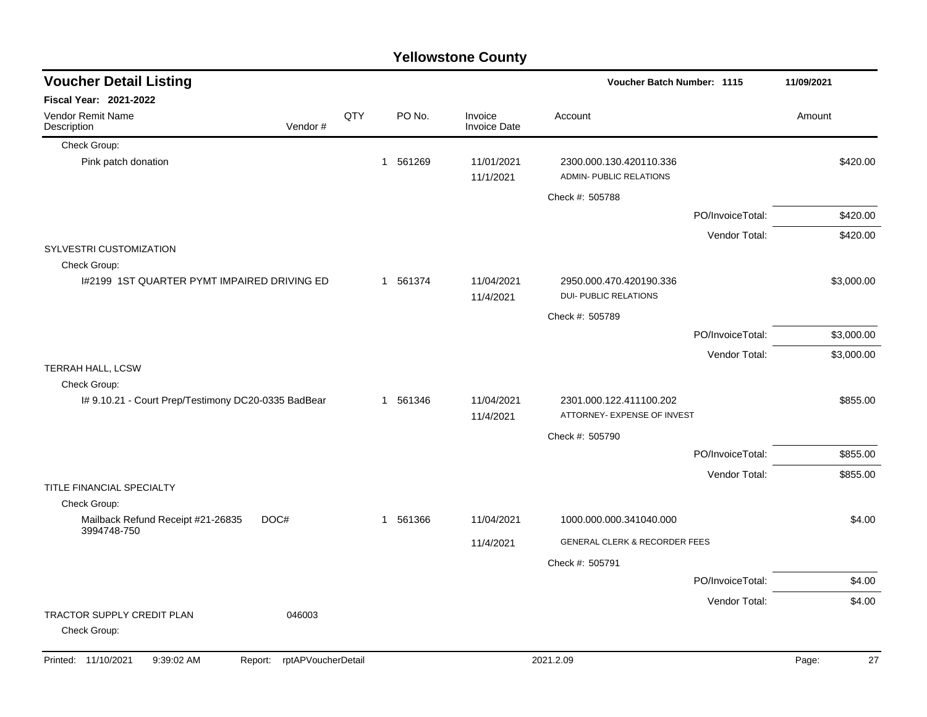|                                                          | <b>Yellowstone County</b> |     |          |                                |                                                         |                  |             |  |  |  |  |
|----------------------------------------------------------|---------------------------|-----|----------|--------------------------------|---------------------------------------------------------|------------------|-------------|--|--|--|--|
| <b>Voucher Detail Listing</b>                            |                           |     |          |                                | <b>Voucher Batch Number: 1115</b>                       |                  | 11/09/2021  |  |  |  |  |
| Fiscal Year: 2021-2022                                   |                           |     |          |                                |                                                         |                  |             |  |  |  |  |
| Vendor Remit Name<br>Description                         | Vendor#                   | QTY | PO No.   | Invoice<br><b>Invoice Date</b> | Account                                                 |                  | Amount      |  |  |  |  |
| Check Group:                                             |                           |     |          |                                |                                                         |                  |             |  |  |  |  |
| Pink patch donation                                      |                           |     | 1 561269 | 11/01/2021<br>11/1/2021        | 2300.000.130.420110.336<br>ADMIN- PUBLIC RELATIONS      |                  | \$420.00    |  |  |  |  |
|                                                          |                           |     |          |                                | Check #: 505788                                         |                  |             |  |  |  |  |
|                                                          |                           |     |          |                                |                                                         | PO/InvoiceTotal: | \$420.00    |  |  |  |  |
|                                                          |                           |     |          |                                |                                                         | Vendor Total:    | \$420.00    |  |  |  |  |
| SYLVESTRI CUSTOMIZATION<br>Check Group:                  |                           |     |          |                                |                                                         |                  |             |  |  |  |  |
| 1#2199 1ST QUARTER PYMT IMPAIRED DRIVING ED              |                           |     | 1 561374 | 11/04/2021<br>11/4/2021        | 2950.000.470.420190.336<br><b>DUI- PUBLIC RELATIONS</b> |                  | \$3,000.00  |  |  |  |  |
|                                                          |                           |     |          |                                | Check #: 505789                                         |                  |             |  |  |  |  |
|                                                          |                           |     |          |                                |                                                         | PO/InvoiceTotal: | \$3,000.00  |  |  |  |  |
|                                                          |                           |     |          |                                |                                                         | Vendor Total:    | \$3,000.00  |  |  |  |  |
| TERRAH HALL, LCSW                                        |                           |     |          |                                |                                                         |                  |             |  |  |  |  |
| Check Group:                                             |                           |     |          |                                |                                                         |                  |             |  |  |  |  |
| I# 9.10.21 - Court Prep/Testimony DC20-0335 BadBear      |                           |     | 1 561346 | 11/04/2021<br>11/4/2021        | 2301.000.122.411100.202<br>ATTORNEY- EXPENSE OF INVEST  |                  | \$855.00    |  |  |  |  |
|                                                          |                           |     |          |                                | Check #: 505790                                         |                  |             |  |  |  |  |
|                                                          |                           |     |          |                                |                                                         | PO/InvoiceTotal: | \$855.00    |  |  |  |  |
| TITLE FINANCIAL SPECIALTY                                |                           |     |          |                                |                                                         | Vendor Total:    | \$855.00    |  |  |  |  |
| Check Group:                                             |                           |     |          |                                |                                                         |                  |             |  |  |  |  |
| Mailback Refund Receipt #21-26835<br>DOC#<br>3994748-750 |                           |     | 1 561366 | 11/04/2021                     | 1000.000.000.341040.000                                 |                  | \$4.00      |  |  |  |  |
|                                                          |                           |     |          | 11/4/2021                      | <b>GENERAL CLERK &amp; RECORDER FEES</b>                |                  |             |  |  |  |  |
|                                                          |                           |     |          |                                | Check #: 505791                                         |                  |             |  |  |  |  |
|                                                          |                           |     |          |                                |                                                         | PO/InvoiceTotal: | \$4.00      |  |  |  |  |
|                                                          |                           |     |          |                                |                                                         | Vendor Total:    | \$4.00      |  |  |  |  |
| TRACTOR SUPPLY CREDIT PLAN<br>Check Group:               | 046003                    |     |          |                                |                                                         |                  |             |  |  |  |  |
| Printed: 11/10/2021<br>9:39:02 AM<br>Report:             | rptAPVoucherDetail        |     |          |                                | 2021.2.09                                               |                  | Page:<br>27 |  |  |  |  |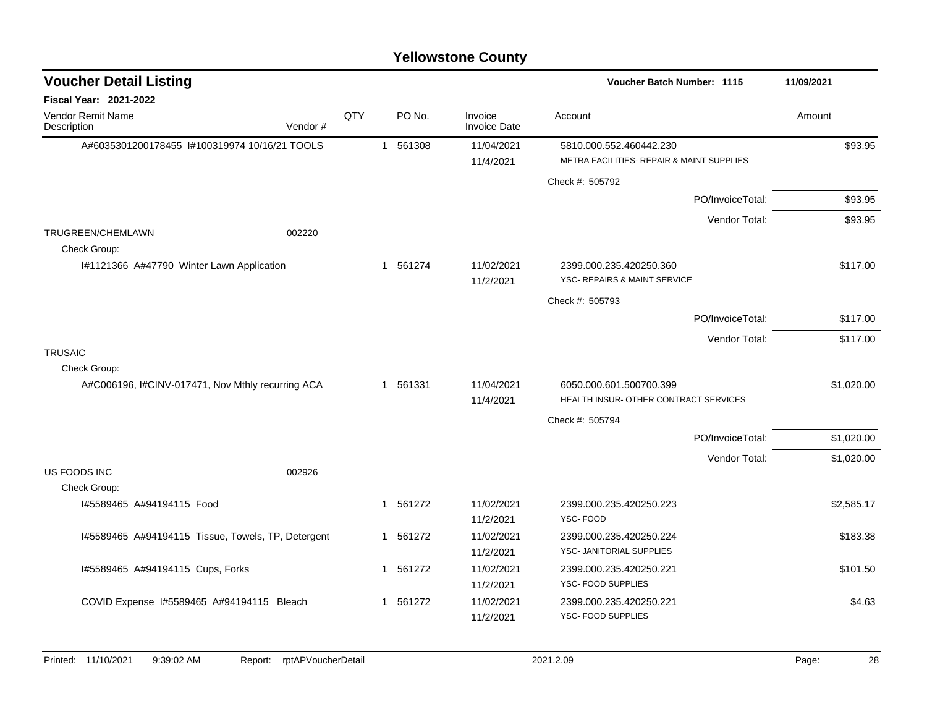| <b>Voucher Detail Listing</b>                      |     |             |          |                                | Voucher Batch Number: 1115                                           | 11/09/2021 |
|----------------------------------------------------|-----|-------------|----------|--------------------------------|----------------------------------------------------------------------|------------|
| <b>Fiscal Year: 2021-2022</b>                      |     |             |          |                                |                                                                      |            |
| <b>Vendor Remit Name</b><br>Vendor#<br>Description | QTY |             | PO No.   | Invoice<br><b>Invoice Date</b> | Account                                                              | Amount     |
| A#6035301200178455 1#100319974 10/16/21 TOOLS      |     |             | 1 561308 | 11/04/2021<br>11/4/2021        | 5810.000.552.460442.230<br>METRA FACILITIES- REPAIR & MAINT SUPPLIES | \$93.95    |
|                                                    |     |             |          |                                | Check #: 505792                                                      |            |
|                                                    |     |             |          |                                | PO/InvoiceTotal:                                                     | \$93.95    |
|                                                    |     |             |          |                                | Vendor Total:                                                        | \$93.95    |
| 002220<br><b>TRUGREEN/CHEMLAWN</b><br>Check Group: |     |             |          |                                |                                                                      |            |
| I#1121366 A#47790 Winter Lawn Application          |     |             | 1 561274 | 11/02/2021<br>11/2/2021        | 2399.000.235.420250.360<br>YSC- REPAIRS & MAINT SERVICE              | \$117.00   |
|                                                    |     |             |          |                                | Check #: 505793                                                      |            |
|                                                    |     |             |          |                                | PO/InvoiceTotal:                                                     | \$117.00   |
|                                                    |     |             |          |                                | Vendor Total:                                                        | \$117.00   |
| <b>TRUSAIC</b>                                     |     |             |          |                                |                                                                      |            |
| Check Group:                                       |     |             |          |                                |                                                                      |            |
| A#C006196, I#CINV-017471, Nov Mthly recurring ACA  |     |             | 1 561331 | 11/04/2021<br>11/4/2021        | 6050.000.601.500700.399<br>HEALTH INSUR- OTHER CONTRACT SERVICES     | \$1,020.00 |
|                                                    |     |             |          |                                | Check #: 505794                                                      |            |
|                                                    |     |             |          |                                | PO/InvoiceTotal:                                                     | \$1,020.00 |
|                                                    |     |             |          |                                | Vendor Total:                                                        | \$1,020.00 |
| <b>US FOODS INC</b><br>002926                      |     |             |          |                                |                                                                      |            |
| Check Group:<br>1#5589465 A#94194115 Food          |     | $\mathbf 1$ | 561272   | 11/02/2021<br>11/2/2021        | 2399.000.235.420250.223<br>YSC-FOOD                                  | \$2,585.17 |
| I#5589465 A#94194115 Tissue, Towels, TP, Detergent |     | 1           | 561272   | 11/02/2021<br>11/2/2021        | 2399.000.235.420250.224<br>YSC- JANITORIAL SUPPLIES                  | \$183.38   |
| I#5589465 A#94194115 Cups, Forks                   |     |             | 1 561272 | 11/02/2021<br>11/2/2021        | 2399.000.235.420250.221<br>YSC- FOOD SUPPLIES                        | \$101.50   |
| COVID Expense I#5589465 A#94194115 Bleach          |     |             | 1 561272 | 11/02/2021<br>11/2/2021        | 2399.000.235.420250.221<br>YSC- FOOD SUPPLIES                        | \$4.63     |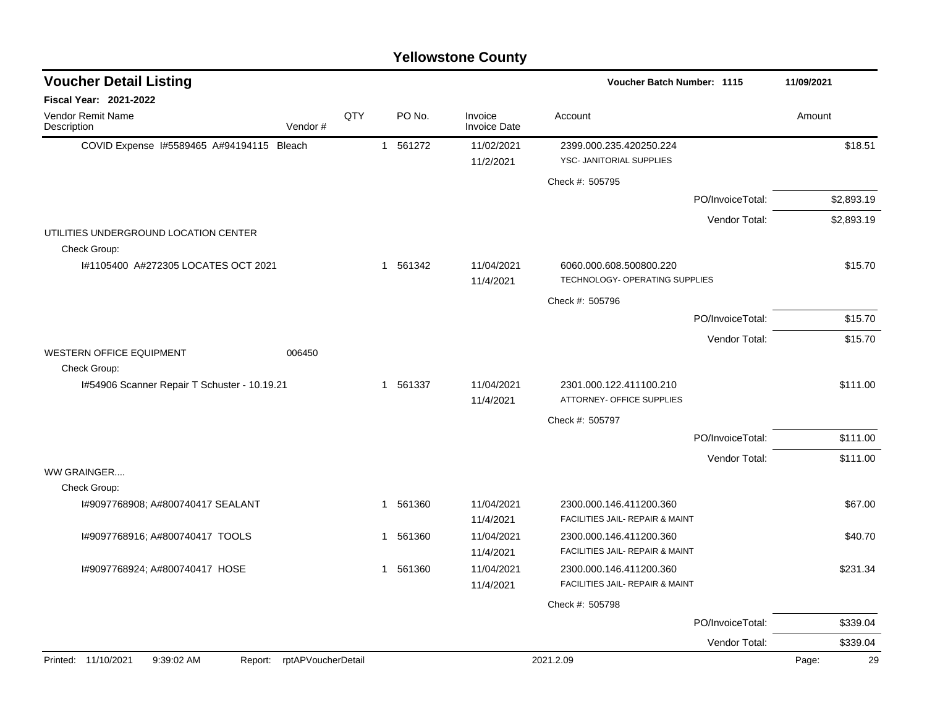|                                                       | <b>Yellowstone County</b> |     |             |                                |                                                            |                  |             |  |  |  |
|-------------------------------------------------------|---------------------------|-----|-------------|--------------------------------|------------------------------------------------------------|------------------|-------------|--|--|--|
| <b>Voucher Detail Listing</b>                         |                           |     |             |                                | <b>Voucher Batch Number: 1115</b>                          |                  | 11/09/2021  |  |  |  |
| Fiscal Year: 2021-2022                                |                           |     |             |                                |                                                            |                  |             |  |  |  |
| Vendor Remit Name<br>Description                      | Vendor#                   | QTY | PO No.      | Invoice<br><b>Invoice Date</b> | Account                                                    |                  | Amount      |  |  |  |
| COVID Expense 1#5589465 A#94194115 Bleach             |                           |     | 1 561272    | 11/02/2021                     | 2399.000.235.420250.224                                    |                  | \$18.51     |  |  |  |
|                                                       |                           |     |             | 11/2/2021                      | YSC- JANITORIAL SUPPLIES                                   |                  |             |  |  |  |
|                                                       |                           |     |             |                                | Check #: 505795                                            |                  |             |  |  |  |
|                                                       |                           |     |             |                                |                                                            | PO/InvoiceTotal: | \$2,893.19  |  |  |  |
|                                                       |                           |     |             |                                |                                                            | Vendor Total:    | \$2,893.19  |  |  |  |
| UTILITIES UNDERGROUND LOCATION CENTER<br>Check Group: |                           |     |             |                                |                                                            |                  |             |  |  |  |
| I#1105400 A#272305 LOCATES OCT 2021                   |                           |     | 1 561342    | 11/04/2021<br>11/4/2021        | 6060.000.608.500800.220<br>TECHNOLOGY- OPERATING SUPPLIES  |                  | \$15.70     |  |  |  |
|                                                       |                           |     |             |                                | Check #: 505796                                            |                  |             |  |  |  |
|                                                       |                           |     |             |                                |                                                            | PO/InvoiceTotal: | \$15.70     |  |  |  |
|                                                       |                           |     |             |                                |                                                            | Vendor Total:    | \$15.70     |  |  |  |
| WESTERN OFFICE EQUIPMENT                              | 006450                    |     |             |                                |                                                            |                  |             |  |  |  |
| Check Group:                                          |                           |     |             |                                |                                                            |                  |             |  |  |  |
| I#54906 Scanner Repair T Schuster - 10.19.21          |                           |     | 1 561337    | 11/04/2021<br>11/4/2021        | 2301.000.122.411100.210<br>ATTORNEY- OFFICE SUPPLIES       |                  | \$111.00    |  |  |  |
|                                                       |                           |     |             |                                | Check #: 505797                                            |                  |             |  |  |  |
|                                                       |                           |     |             |                                |                                                            | PO/InvoiceTotal: | \$111.00    |  |  |  |
|                                                       |                           |     |             |                                |                                                            | Vendor Total:    | \$111.00    |  |  |  |
| WW GRAINGER                                           |                           |     |             |                                |                                                            |                  |             |  |  |  |
| Check Group:                                          |                           |     |             |                                |                                                            |                  |             |  |  |  |
| I#9097768908; A#800740417 SEALANT                     |                           |     | 1 561360    | 11/04/2021<br>11/4/2021        | 2300.000.146.411200.360<br>FACILITIES JAIL- REPAIR & MAINT |                  | \$67.00     |  |  |  |
| I#9097768916; A#800740417 TOOLS                       |                           |     | 561360<br>1 | 11/04/2021                     | 2300.000.146.411200.360                                    |                  | \$40.70     |  |  |  |
|                                                       |                           |     |             | 11/4/2021                      | FACILITIES JAIL- REPAIR & MAINT                            |                  |             |  |  |  |
| I#9097768924; A#800740417 HOSE                        |                           |     | 1 561360    | 11/04/2021                     | 2300.000.146.411200.360                                    |                  | \$231.34    |  |  |  |
|                                                       |                           |     |             | 11/4/2021                      | FACILITIES JAIL- REPAIR & MAINT                            |                  |             |  |  |  |
|                                                       |                           |     |             |                                | Check #: 505798                                            |                  |             |  |  |  |
|                                                       |                           |     |             |                                |                                                            | PO/InvoiceTotal: | \$339.04    |  |  |  |
|                                                       |                           |     |             |                                |                                                            | Vendor Total:    | \$339.04    |  |  |  |
| Printed: 11/10/2021<br>9:39:02 AM<br>Report:          | rptAPVoucherDetail        |     |             |                                | 2021.2.09                                                  |                  | Page:<br>29 |  |  |  |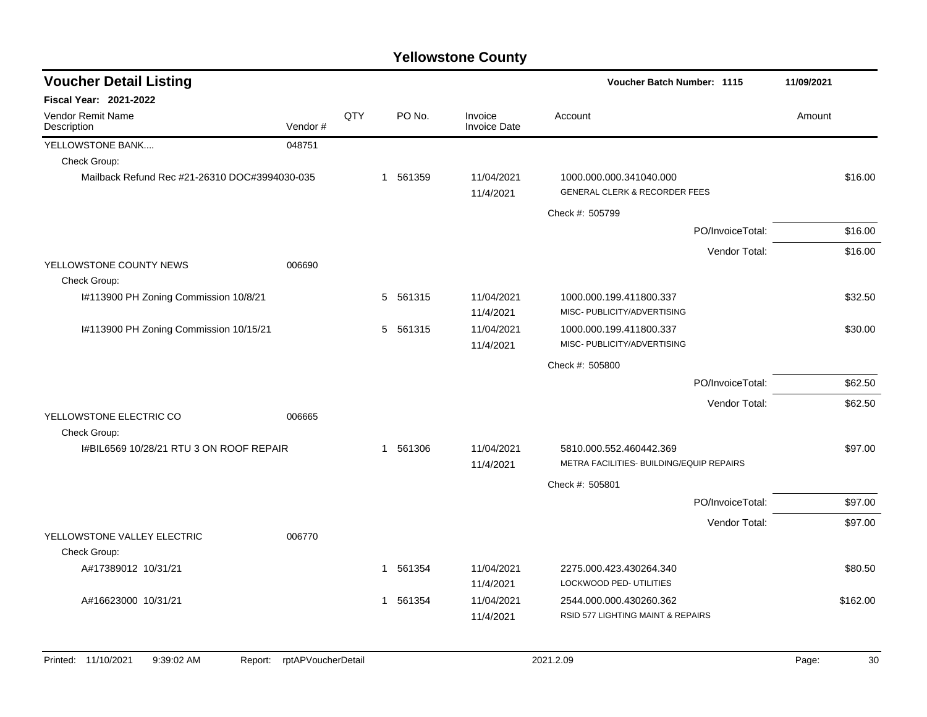| <b>Voucher Detail Listing</b>                 |         |     |                        |                                | Voucher Batch Number: 1115                                          | 11/09/2021 |
|-----------------------------------------------|---------|-----|------------------------|--------------------------------|---------------------------------------------------------------------|------------|
| <b>Fiscal Year: 2021-2022</b>                 |         |     |                        |                                |                                                                     |            |
| Vendor Remit Name<br>Description              | Vendor# | QTY | PO No.                 | Invoice<br><b>Invoice Date</b> | Account                                                             | Amount     |
| YELLOWSTONE BANK                              | 048751  |     |                        |                                |                                                                     |            |
| Check Group:                                  |         |     |                        |                                |                                                                     |            |
| Mailback Refund Rec #21-26310 DOC#3994030-035 |         |     | 1 561359               | 11/04/2021<br>11/4/2021        | 1000.000.000.341040.000<br><b>GENERAL CLERK &amp; RECORDER FEES</b> | \$16.00    |
|                                               |         |     |                        |                                | Check #: 505799                                                     |            |
|                                               |         |     |                        |                                | PO/InvoiceTotal:                                                    | \$16.00    |
|                                               |         |     |                        |                                | Vendor Total:                                                       | \$16.00    |
| YELLOWSTONE COUNTY NEWS<br>Check Group:       | 006690  |     |                        |                                |                                                                     |            |
| I#113900 PH Zoning Commission 10/8/21         |         |     | 5 561315               | 11/04/2021<br>11/4/2021        | 1000.000.199.411800.337<br>MISC- PUBLICITY/ADVERTISING              | \$32.50    |
| I#113900 PH Zoning Commission 10/15/21        |         |     | 561315<br>5            | 11/04/2021<br>11/4/2021        | 1000.000.199.411800.337<br>MISC- PUBLICITY/ADVERTISING              | \$30.00    |
|                                               |         |     |                        |                                | Check #: 505800                                                     |            |
|                                               |         |     |                        |                                | PO/InvoiceTotal:                                                    | \$62.50    |
|                                               |         |     |                        |                                | Vendor Total:                                                       | \$62.50    |
| YELLOWSTONE ELECTRIC CO<br>Check Group:       | 006665  |     |                        |                                |                                                                     |            |
| I#BIL6569 10/28/21 RTU 3 ON ROOF REPAIR       |         |     | 1 561306               | 11/04/2021                     | 5810.000.552.460442.369                                             | \$97.00    |
|                                               |         |     |                        | 11/4/2021                      | METRA FACILITIES- BUILDING/EQUIP REPAIRS                            |            |
|                                               |         |     |                        |                                | Check #: 505801                                                     |            |
|                                               |         |     |                        |                                | PO/InvoiceTotal:                                                    | \$97.00    |
|                                               |         |     |                        |                                | Vendor Total:                                                       | \$97.00    |
| YELLOWSTONE VALLEY ELECTRIC<br>Check Group:   | 006770  |     |                        |                                |                                                                     |            |
| A#17389012 10/31/21                           |         |     | 561354<br>$\mathbf{1}$ | 11/04/2021<br>11/4/2021        | 2275.000.423.430264.340<br>LOCKWOOD PED- UTILITIES                  | \$80.50    |
| A#16623000 10/31/21                           |         |     | 561354<br>$\mathbf 1$  | 11/04/2021                     | 2544.000.000.430260.362                                             | \$162.00   |
|                                               |         |     |                        | 11/4/2021                      | RSID 577 LIGHTING MAINT & REPAIRS                                   |            |
|                                               |         |     |                        |                                |                                                                     |            |